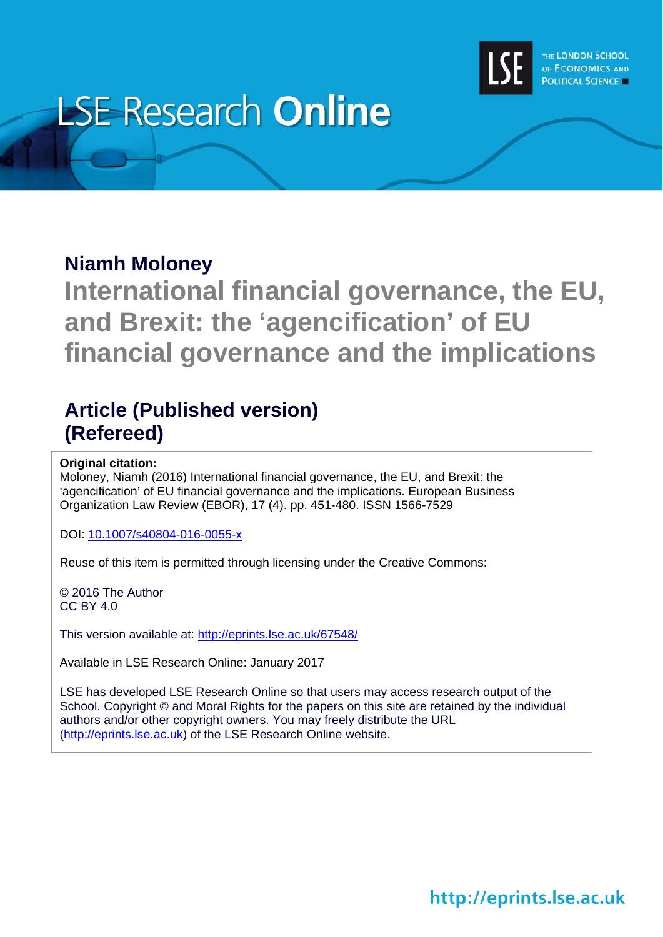

# **LSE Research Online**

## **Niamh Moloney**

**International financial governance, the EU, and Brexit: the 'agencification' of EU financial governance and the implications** 

# **Article (Published version) (Refereed)**

### **Original citation:**

Moloney, Niamh (2016) International financial governance, the EU, and Brexit: the 'agencification' of EU financial governance and the implications. European Business Organization Law Review (EBOR), 17 (4). pp. 451-480. ISSN 1566-7529

DOI: 10.1007/s40804-016-0055-x

Reuse of this item is permitted through licensing under the Creative Commons:

© 2016 The Author CC BY 4.0

This version available at: http://eprints.lse.ac.uk/67548/

Available in LSE Research Online: January 2017

LSE has developed LSE Research Online so that users may access research output of the School. Copyright © and Moral Rights for the papers on this site are retained by the individual authors and/or other copyright owners. You may freely distribute the URL (http://eprints.lse.ac.uk) of the LSE Research Online website.

http://eprints.lse.ac.uk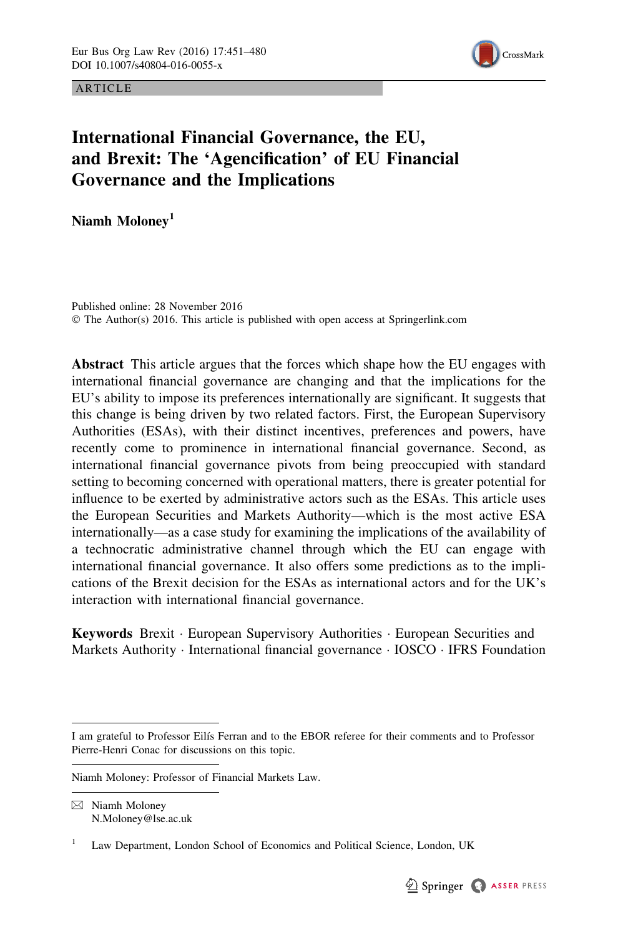ARTICLE



## International Financial Governance, the EU, and Brexit: The 'Agencification' of EU Financial Governance and the Implications

Niamh Moloney<sup>1</sup>

Published online: 28 November 2016 © The Author(s) 2016. This article is published with open access at Springerlink.com

Abstract This article argues that the forces which shape how the EU engages with international financial governance are changing and that the implications for the EU's ability to impose its preferences internationally are significant. It suggests that this change is being driven by two related factors. First, the European Supervisory Authorities (ESAs), with their distinct incentives, preferences and powers, have recently come to prominence in international financial governance. Second, as international financial governance pivots from being preoccupied with standard setting to becoming concerned with operational matters, there is greater potential for influence to be exerted by administrative actors such as the ESAs. This article uses the European Securities and Markets Authority—which is the most active ESA internationally—as a case study for examining the implications of the availability of a technocratic administrative channel through which the EU can engage with international financial governance. It also offers some predictions as to the implications of the Brexit decision for the ESAs as international actors and for the UK's interaction with international financial governance.

Keywords Brexit · European Supervisory Authorities · European Securities and Markets Authority - International financial governance - IOSCO - IFRS Foundation

 $\boxtimes$  Niamh Molonev N.Moloney@lse.ac.uk

I am grateful to Professor Eilı´s Ferran and to the EBOR referee for their comments and to Professor Pierre-Henri Conac for discussions on this topic.

Niamh Moloney: Professor of Financial Markets Law.

<sup>1</sup> Law Department, London School of Economics and Political Science, London, UK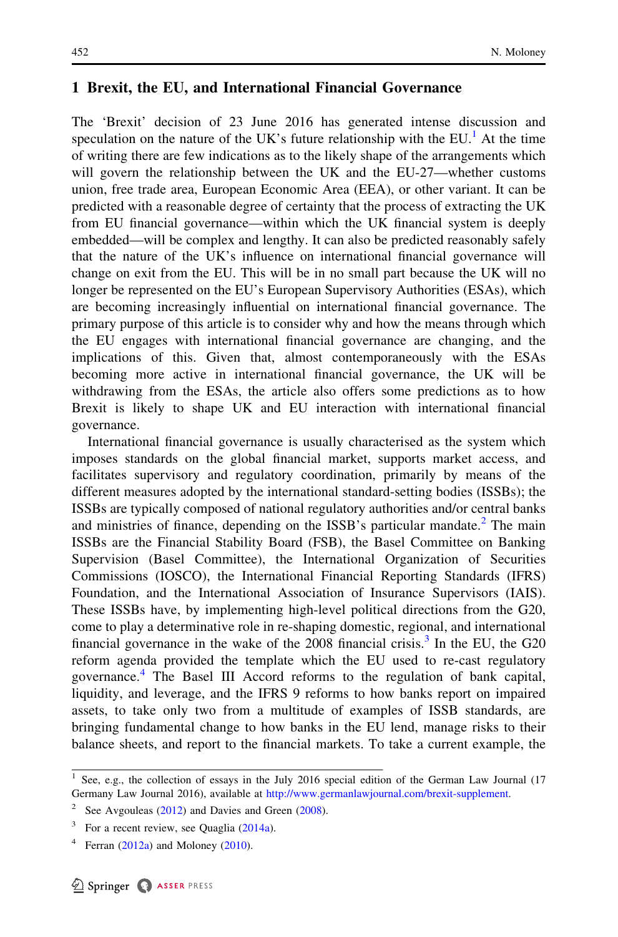#### 1 Brexit, the EU, and International Financial Governance

The 'Brexit' decision of 23 June 2016 has generated intense discussion and speculation on the nature of the UK's future relationship with the  $EU<sup>1</sup>$ . At the time of writing there are few indications as to the likely shape of the arrangements which will govern the relationship between the UK and the EU-27—whether customs union, free trade area, European Economic Area (EEA), or other variant. It can be predicted with a reasonable degree of certainty that the process of extracting the UK from EU financial governance—within which the UK financial system is deeply embedded—will be complex and lengthy. It can also be predicted reasonably safely that the nature of the UK's influence on international financial governance will change on exit from the EU. This will be in no small part because the UK will no longer be represented on the EU's European Supervisory Authorities (ESAs), which are becoming increasingly influential on international financial governance. The primary purpose of this article is to consider why and how the means through which the EU engages with international financial governance are changing, and the implications of this. Given that, almost contemporaneously with the ESAs becoming more active in international financial governance, the UK will be withdrawing from the ESAs, the article also offers some predictions as to how Brexit is likely to shape UK and EU interaction with international financial governance.

International financial governance is usually characterised as the system which imposes standards on the global financial market, supports market access, and facilitates supervisory and regulatory coordination, primarily by means of the different measures adopted by the international standard-setting bodies (ISSBs); the ISSBs are typically composed of national regulatory authorities and/or central banks and ministries of finance, depending on the ISSB's particular mandate. $<sup>2</sup>$  The main</sup> ISSBs are the Financial Stability Board (FSB), the Basel Committee on Banking Supervision (Basel Committee), the International Organization of Securities Commissions (IOSCO), the International Financial Reporting Standards (IFRS) Foundation, and the International Association of Insurance Supervisors (IAIS). These ISSBs have, by implementing high-level political directions from the G20, come to play a determinative role in re-shaping domestic, regional, and international financial governance in the wake of the  $2008$  financial crisis.<sup>3</sup> In the EU, the G20 reform agenda provided the template which the EU used to re-cast regulatory governance.<sup>4</sup> The Basel III Accord reforms to the regulation of bank capital, liquidity, and leverage, and the IFRS 9 reforms to how banks report on impaired assets, to take only two from a multitude of examples of ISSB standards, are bringing fundamental change to how banks in the EU lend, manage risks to their balance sheets, and report to the financial markets. To take a current example, the

See, e.g., the collection of essays in the July 2016 special edition of the German Law Journal (17 Germany Law Journal 2016), available at [http://www.germanlawjournal.com/brexit-supplement.](http://www.germanlawjournal.com/brexit-supplement)

See Avgouleas [\(2012\)](#page-25-0) and Davies and Green [\(2008](#page-26-0)).

 $3$  For a recent review, see Quaglia [\(2014a\)](#page-29-0).

Ferran  $(2012a)$  $(2012a)$  $(2012a)$  and Moloney  $(2010)$  $(2010)$ .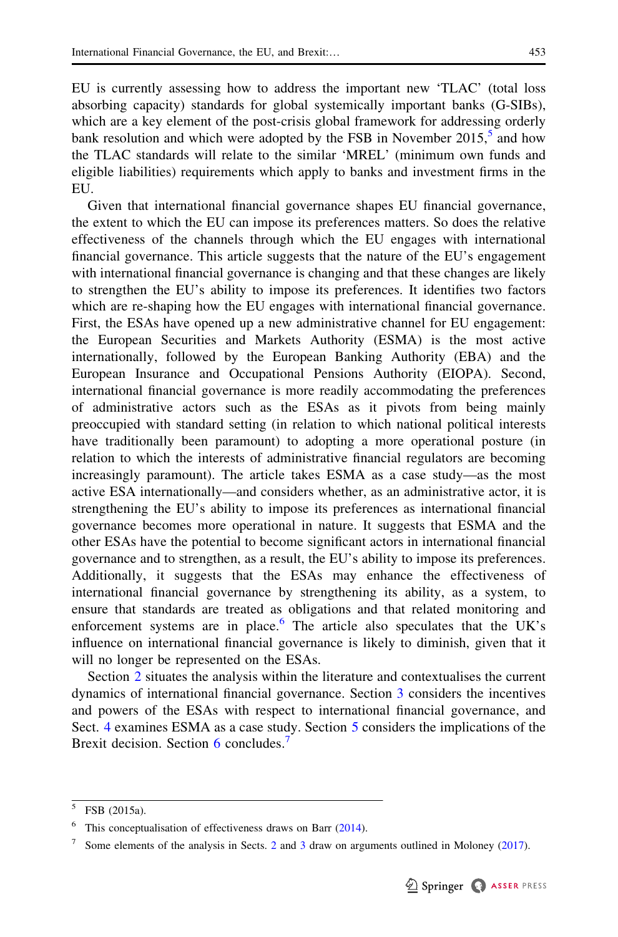EU is currently assessing how to address the important new 'TLAC' (total loss absorbing capacity) standards for global systemically important banks (G-SIBs), which are a key element of the post-crisis global framework for addressing orderly bank resolution and which were adopted by the FSB in November  $2015<sup>5</sup>$  and how the TLAC standards will relate to the similar 'MREL' (minimum own funds and eligible liabilities) requirements which apply to banks and investment firms in the EU.

Given that international financial governance shapes EU financial governance, the extent to which the EU can impose its preferences matters. So does the relative effectiveness of the channels through which the EU engages with international financial governance. This article suggests that the nature of the EU's engagement with international financial governance is changing and that these changes are likely to strengthen the EU's ability to impose its preferences. It identifies two factors which are re-shaping how the EU engages with international financial governance. First, the ESAs have opened up a new administrative channel for EU engagement: the European Securities and Markets Authority (ESMA) is the most active internationally, followed by the European Banking Authority (EBA) and the European Insurance and Occupational Pensions Authority (EIOPA). Second, international financial governance is more readily accommodating the preferences of administrative actors such as the ESAs as it pivots from being mainly preoccupied with standard setting (in relation to which national political interests have traditionally been paramount) to adopting a more operational posture (in relation to which the interests of administrative financial regulators are becoming increasingly paramount). The article takes ESMA as a case study—as the most active ESA internationally—and considers whether, as an administrative actor, it is strengthening the EU's ability to impose its preferences as international financial governance becomes more operational in nature. It suggests that ESMA and the other ESAs have the potential to become significant actors in international financial governance and to strengthen, as a result, the EU's ability to impose its preferences. Additionally, it suggests that the ESAs may enhance the effectiveness of international financial governance by strengthening its ability, as a system, to ensure that standards are treated as obligations and that related monitoring and enforcement systems are in place.<sup>6</sup> The article also speculates that the UK's influence on international financial governance is likely to diminish, given that it will no longer be represented on the ESAs.

Section [2](#page-4-0) situates the analysis within the literature and contextualises the current dynamics of international financial governance. Section [3](#page-8-0) considers the incentives and powers of the ESAs with respect to international financial governance, and Sect. [4](#page-14-0) examines ESMA as a case study. Section [5](#page-23-0) considers the implications of the Brexit decision. Section [6](#page-25-0) concludes.

FSB (2015a).

This conceptualisation of effectiveness draws on Barr [\(2014](#page-26-0)).

Some elements of the analysis in Sects. [2](#page-4-0) and [3](#page-8-0) draw on arguments outlined in Moloney ([2017\)](#page-29-0).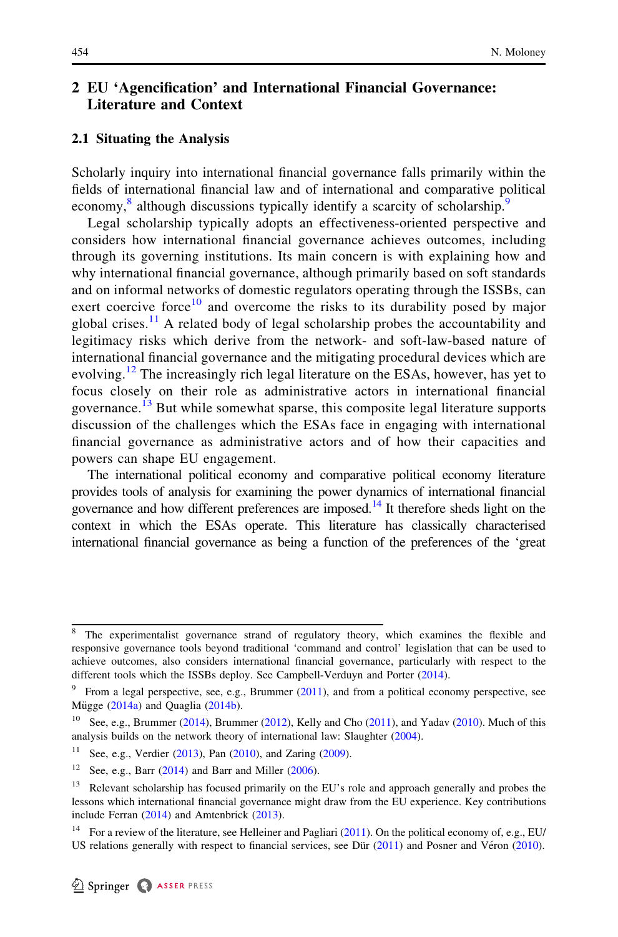#### <span id="page-4-0"></span>2 EU 'Agencification' and International Financial Governance: Literature and Context

#### 2.1 Situating the Analysis

Scholarly inquiry into international financial governance falls primarily within the fields of international financial law and of international and comparative political economy,<sup>8</sup> although discussions typically identify a scarcity of scholarship.<sup>9</sup>

Legal scholarship typically adopts an effectiveness-oriented perspective and considers how international financial governance achieves outcomes, including through its governing institutions. Its main concern is with explaining how and why international financial governance, although primarily based on soft standards and on informal networks of domestic regulators operating through the ISSBs, can exert coercive force<sup>10</sup> and overcome the risks to its durability posed by major global crises.<sup>11</sup> A related body of legal scholarship probes the accountability and legitimacy risks which derive from the network- and soft-law-based nature of international financial governance and the mitigating procedural devices which are evolving.<sup>12</sup> The increasingly rich legal literature on the ESAs, however, has yet to focus closely on their role as administrative actors in international financial governance.<sup>13</sup> But while somewhat sparse, this composite legal literature supports discussion of the challenges which the ESAs face in engaging with international financial governance as administrative actors and of how their capacities and powers can shape EU engagement.

The international political economy and comparative political economy literature provides tools of analysis for examining the power dynamics of international financial governance and how different preferences are imposed.<sup>14</sup> It therefore sheds light on the context in which the ESAs operate. This literature has classically characterised international financial governance as being a function of the preferences of the 'great

The experimentalist governance strand of regulatory theory, which examines the flexible and responsive governance tools beyond traditional 'command and control' legislation that can be used to achieve outcomes, also considers international financial governance, particularly with respect to the different tools which the ISSBs deploy. See Campbell-Verduyn and Porter ([2014\)](#page-26-0).

From a legal perspective, see, e.g., Brummer ([2011\)](#page-26-0), and from a political economy perspective, see Mügge  $(2014a)$  $(2014a)$  $(2014a)$  and Quaglia  $(2014b)$  $(2014b)$ .

<sup>&</sup>lt;sup>10</sup> See, e.g., Brummer [\(2014](#page-26-0)), Brummer [\(2012](#page-26-0)), Kelly and Cho ([2011\)](#page-29-0), and Yadav ([2010\)](#page-30-0). Much of this analysis builds on the network theory of international law: Slaughter ([2004\)](#page-29-0).

<sup>&</sup>lt;sup>11</sup> See, e.g., Verdier ([2013](#page-30-0)), Pan ([2010\)](#page-29-0), and Zaring ([2009\)](#page-30-0).

<sup>&</sup>lt;sup>12</sup> See, e.g., Barr [\(2014](#page-26-0)) and Barr and Miller ([2006\)](#page-26-0).

<sup>&</sup>lt;sup>13</sup> Relevant scholarship has focused primarily on the EU's role and approach generally and probes the lessons which international financial governance might draw from the EU experience. Key contributions include Ferran [\(2014](#page-28-0)) and Amtenbrick [\(2013\)](#page-25-0).

<sup>&</sup>lt;sup>14</sup> For a review of the literature, see Helleiner and Pagliari ([2011\)](#page-28-0). On the political economy of, e.g., EU/ US relations generally with respect to financial services, see Dür  $(2011)$  $(2011)$  and Posner and Véron  $(2010)$  $(2010)$ .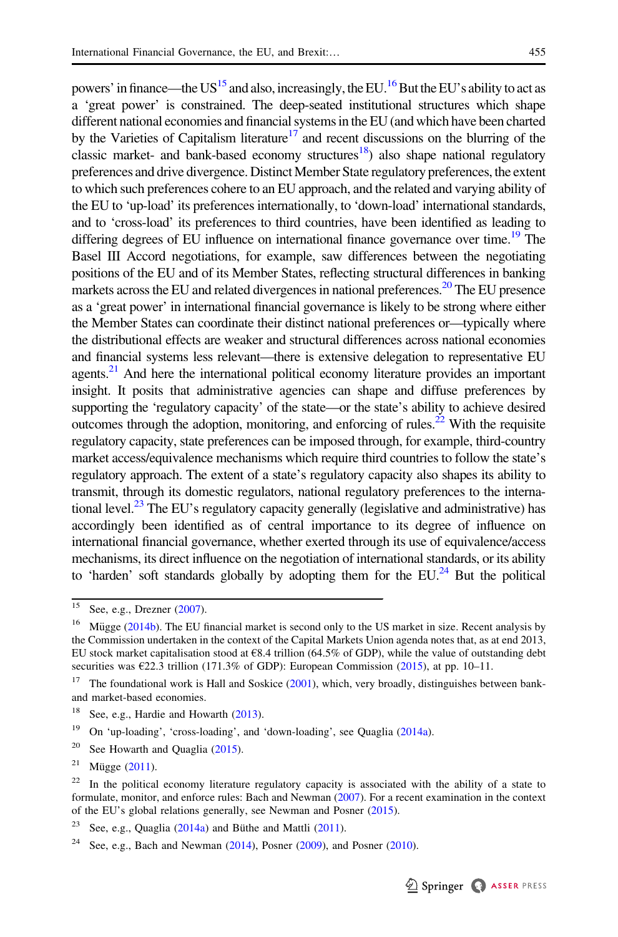powers' in finance—the  $US^{15}$  and also, increasingly, the EU.<sup>16</sup> But the EU's ability to act as a 'great power' is constrained. The deep-seated institutional structures which shape different national economies and financial systems in the EU (and which have been charted by the Varieties of Capitalism literature<sup>17</sup> and recent discussions on the blurring of the classic market- and bank-based economy structures<sup>18</sup>) also shape national regulatory preferences and drive divergence. Distinct Member State regulatory preferences, the extent to which such preferences cohere to an EU approach, and the related and varying ability of the EU to 'up-load' its preferences internationally, to 'down-load' international standards, and to 'cross-load' its preferences to third countries, have been identified as leading to differing degrees of EU influence on international finance governance over time.<sup>19</sup> The Basel III Accord negotiations, for example, saw differences between the negotiating positions of the EU and of its Member States, reflecting structural differences in banking markets across the EU and related divergences in national preferences.<sup>20</sup> The EU presence as a 'great power' in international financial governance is likely to be strong where either the Member States can coordinate their distinct national preferences or—typically where the distributional effects are weaker and structural differences across national economies and financial systems less relevant—there is extensive delegation to representative EU agents. $21$  And here the international political economy literature provides an important insight. It posits that administrative agencies can shape and diffuse preferences by supporting the 'regulatory capacity' of the state—or the state's ability to achieve desired outcomes through the adoption, monitoring, and enforcing of rules.<sup>22</sup> With the requisite regulatory capacity, state preferences can be imposed through, for example, third-country market access/equivalence mechanisms which require third countries to follow the state's regulatory approach. The extent of a state's regulatory capacity also shapes its ability to transmit, through its domestic regulators, national regulatory preferences to the international level.<sup>23</sup> The EU's regulatory capacity generally (legislative and administrative) has accordingly been identified as of central importance to its degree of influence on international financial governance, whether exerted through its use of equivalence/access mechanisms, its direct influence on the negotiation of international standards, or its ability to 'harden' soft standards globally by adopting them for the  $EU^{24}$  But the political

<sup>20</sup> See Howarth and Quaglia  $(2015)$  $(2015)$ .

<sup>&</sup>lt;sup>15</sup> See, e.g., Drezner  $(2007)$  $(2007)$ .

<sup>&</sup>lt;sup>16</sup> Mügge ([2014b\)](#page-29-0). The EU financial market is second only to the US market in size. Recent analysis by the Commission undertaken in the context of the Capital Markets Union agenda notes that, as at end 2013, EU stock market capitalisation stood at €8.4 trillion (64.5% of GDP), while the value of outstanding debt securities was  $\epsilon$ 22.3 trillion (171.3% of GDP): European Commission ([2015\)](#page-27-0), at pp. 10–11.

<sup>&</sup>lt;sup>17</sup> The foundational work is Hall and Soskice [\(2001](#page-28-0)), which, very broadly, distinguishes between bankand market-based economies.

<sup>&</sup>lt;sup>18</sup> See, e.g., Hardie and Howarth ([2013](#page-28-0)).

<sup>19</sup> On 'up-loading', 'cross-loading', and 'down-loading', see Quaglia ([2014a](#page-29-0)).

 $21$  Mügge [\(2011](#page-29-0)).

<sup>&</sup>lt;sup>22</sup> In the political economy literature regulatory capacity is associated with the ability of a state to formulate, monitor, and enforce rules: Bach and Newman [\(2007](#page-25-0)). For a recent examination in the context of the EU's global relations generally, see Newman and Posner [\(2015](#page-29-0)).

<sup>&</sup>lt;sup>23</sup> See, e.g., Quaglia  $(2014a)$  and Büthe and Mattli  $(2011)$ .

<sup>&</sup>lt;sup>24</sup> See, e.g., Bach and Newman  $(2014)$  $(2014)$ , Posner  $(2009)$  $(2009)$ , and Posner  $(2010)$  $(2010)$  $(2010)$ .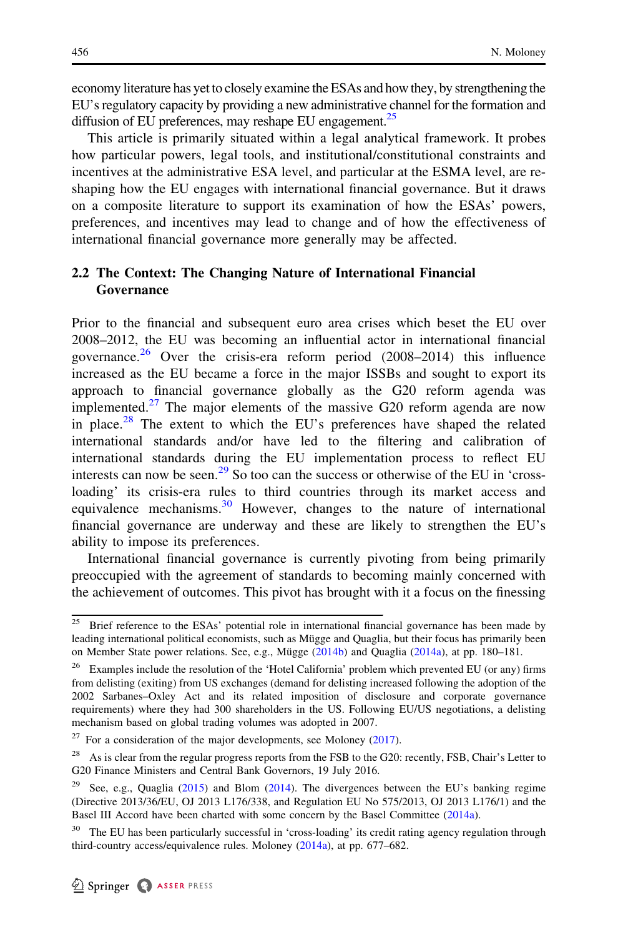economy literature has yet to closely examine the ESAs and how they, by strengthening the EU's regulatory capacity by providing a new administrative channel for the formation and diffusion of EU preferences, may reshape EU engagement.<sup>25</sup>

This article is primarily situated within a legal analytical framework. It probes how particular powers, legal tools, and institutional/constitutional constraints and incentives at the administrative ESA level, and particular at the ESMA level, are reshaping how the EU engages with international financial governance. But it draws on a composite literature to support its examination of how the ESAs' powers, preferences, and incentives may lead to change and of how the effectiveness of international financial governance more generally may be affected.

#### 2.2 The Context: The Changing Nature of International Financial Governance

Prior to the financial and subsequent euro area crises which beset the EU over 2008–2012, the EU was becoming an influential actor in international financial governance. $26$  Over the crisis-era reform period (2008–2014) this influence increased as the EU became a force in the major ISSBs and sought to export its approach to financial governance globally as the G20 reform agenda was implemented.<sup>27</sup> The major elements of the massive G20 reform agenda are now in place.<sup>28</sup> The extent to which the EU's preferences have shaped the related international standards and/or have led to the filtering and calibration of international standards during the EU implementation process to reflect EU interests can now be seen.<sup>29</sup> So too can the success or otherwise of the EU in 'crossloading' its crisis-era rules to third countries through its market access and equivalence mechanisms.<sup>30</sup> However, changes to the nature of international financial governance are underway and these are likely to strengthen the EU's ability to impose its preferences.

International financial governance is currently pivoting from being primarily preoccupied with the agreement of standards to becoming mainly concerned with the achievement of outcomes. This pivot has brought with it a focus on the finessing

<sup>25</sup> Brief reference to the ESAs' potential role in international financial governance has been made by leading international political economists, such as Mügge and Quaglia, but their focus has primarily been on Member State power relations. See, e.g., Mügge ([2014b\)](#page-29-0) and Quaglia ([2014a](#page-29-0)), at pp. 180–181.

<sup>&</sup>lt;sup>26</sup> Examples include the resolution of the 'Hotel California' problem which prevented EU (or any) firms from delisting (exiting) from US exchanges (demand for delisting increased following the adoption of the 2002 Sarbanes–Oxley Act and its related imposition of disclosure and corporate governance requirements) where they had 300 shareholders in the US. Following EU/US negotiations, a delisting mechanism based on global trading volumes was adopted in 2007.

 $27$  For a consideration of the major developments, see Moloney [\(2017](#page-29-0)).

<sup>&</sup>lt;sup>28</sup> As is clear from the regular progress reports from the FSB to the G20: recently, FSB, Chair's Letter to G20 Finance Ministers and Central Bank Governors, 19 July 2016.

<sup>&</sup>lt;sup>29</sup> See, e.g., Quaglia ([2015](#page-29-0)) and Blom [\(2014\)](#page-26-0). The divergences between the EU's banking regime (Directive 2013/36/EU, OJ 2013 L176/338, and Regulation EU No 575/2013, OJ 2013 L176/1) and the Basel III Accord have been charted with some concern by the Basel Committee [\(2014a\)](#page-26-0).

<sup>&</sup>lt;sup>30</sup> The EU has been particularly successful in 'cross-loading' its credit rating agency regulation through third-country access/equivalence rules. Moloney [\(2014a\)](#page-29-0), at pp. 677–682.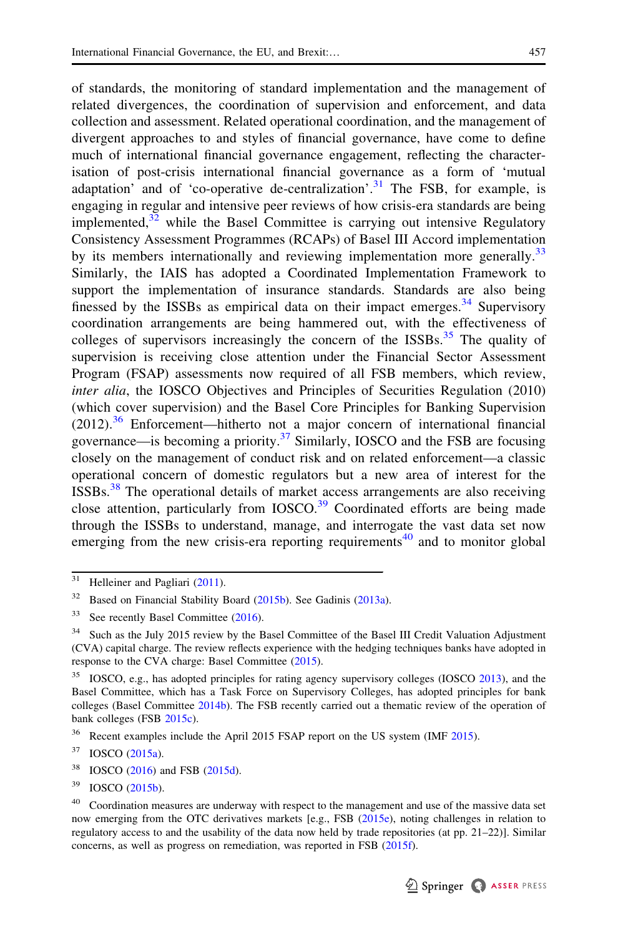of standards, the monitoring of standard implementation and the management of related divergences, the coordination of supervision and enforcement, and data collection and assessment. Related operational coordination, and the management of divergent approaches to and styles of financial governance, have come to define much of international financial governance engagement, reflecting the characterisation of post-crisis international financial governance as a form of 'mutual adaptation' and of 'co-operative de-centralization'.<sup>31</sup> The FSB, for example, is engaging in regular and intensive peer reviews of how crisis-era standards are being implemented, $32$  while the Basel Committee is carrying out intensive Regulatory Consistency Assessment Programmes (RCAPs) of Basel III Accord implementation by its members internationally and reviewing implementation more generally.<sup>33</sup> Similarly, the IAIS has adopted a Coordinated Implementation Framework to support the implementation of insurance standards. Standards are also being finessed by the ISSBs as empirical data on their impact emerges.<sup>34</sup> Supervisory coordination arrangements are being hammered out, with the effectiveness of colleges of supervisors increasingly the concern of the ISSBs.<sup>35</sup> The quality of supervision is receiving close attention under the Financial Sector Assessment Program (FSAP) assessments now required of all FSB members, which review, inter alia, the IOSCO Objectives and Principles of Securities Regulation (2010) (which cover supervision) and the Basel Core Principles for Banking Supervision  $(2012)$ .<sup>36</sup> Enforcement—hitherto not a major concern of international financial governance—is becoming a priority.<sup>37</sup> Similarly, IOSCO and the FSB are focusing closely on the management of conduct risk and on related enforcement—a classic operational concern of domestic regulators but a new area of interest for the  $ISSBs.<sup>38</sup>$  The operational details of market access arrangements are also receiving close attention, particularly from IOSCO.<sup>39</sup> Coordinated efforts are being made through the ISSBs to understand, manage, and interrogate the vast data set now emerging from the new crisis-era reporting requirements<sup>40</sup> and to monitor global

Coordination measures are underway with respect to the management and use of the massive data set now emerging from the OTC derivatives markets [e.g., FSB ([2015e](#page-28-0)), noting challenges in relation to regulatory access to and the usability of the data now held by trade repositories (at pp. 21–22)]. Similar concerns, as well as progress on remediation, was reported in FSB [\(2015f\)](#page-28-0).



 $31$  Helleiner and Pagliari [\(2011](#page-28-0)).

 $32$  Based on Financial Stability Board [\(2015b](#page-28-0)). See Gadinis ([2013a\)](#page-28-0).

<sup>&</sup>lt;sup>33</sup> See recently Basel Committee [\(2016](#page-26-0)).

<sup>&</sup>lt;sup>34</sup> Such as the July 2015 review by the Basel Committee of the Basel III Credit Valuation Adjustment (CVA) capital charge. The review reflects experience with the hedging techniques banks have adopted in response to the CVA charge: Basel Committee ([2015](#page-26-0)).

<sup>&</sup>lt;sup>35</sup> IOSCO, e.g., has adopted principles for rating agency supervisory colleges (IOSCO [2013\)](#page-28-0), and the Basel Committee, which has a Task Force on Supervisory Colleges, has adopted principles for bank colleges (Basel Committee [2014b\)](#page-26-0). The FSB recently carried out a thematic review of the operation of bank colleges (FSB [2015c\)](#page-28-0).

<sup>&</sup>lt;sup>36</sup> Recent examples include the April 2015 FSAP report on the US system (IMF [2015\)](#page-28-0).

<sup>37</sup> IOSCO ([2015a](#page-29-0)).

<sup>38</sup> IOSCO ([2016\)](#page-29-0) and FSB [\(2015d](#page-28-0)).

 $39$  IOSCO  $(2015b)$  $(2015b)$ .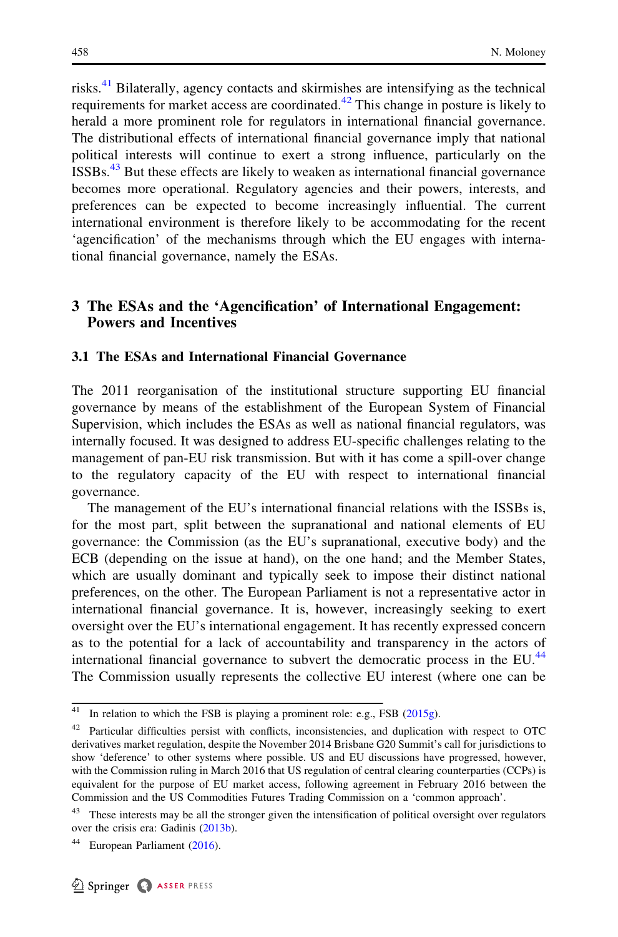<span id="page-8-0"></span>risks.<sup>41</sup> Bilaterally, agency contacts and skirmishes are intensifying as the technical requirements for market access are coordinated.<sup>42</sup> This change in posture is likely to herald a more prominent role for regulators in international financial governance. The distributional effects of international financial governance imply that national political interests will continue to exert a strong influence, particularly on the ISSBs.<sup>43</sup> But these effects are likely to weaken as international financial governance becomes more operational. Regulatory agencies and their powers, interests, and preferences can be expected to become increasingly influential. The current international environment is therefore likely to be accommodating for the recent 'agencification' of the mechanisms through which the EU engages with international financial governance, namely the ESAs.

#### 3 The ESAs and the 'Agencification' of International Engagement: Powers and Incentives

#### 3.1 The ESAs and International Financial Governance

The 2011 reorganisation of the institutional structure supporting EU financial governance by means of the establishment of the European System of Financial Supervision, which includes the ESAs as well as national financial regulators, was internally focused. It was designed to address EU-specific challenges relating to the management of pan-EU risk transmission. But with it has come a spill-over change to the regulatory capacity of the EU with respect to international financial governance.

The management of the EU's international financial relations with the ISSBs is, for the most part, split between the supranational and national elements of EU governance: the Commission (as the EU's supranational, executive body) and the ECB (depending on the issue at hand), on the one hand; and the Member States, which are usually dominant and typically seek to impose their distinct national preferences, on the other. The European Parliament is not a representative actor in international financial governance. It is, however, increasingly seeking to exert oversight over the EU's international engagement. It has recently expressed concern as to the potential for a lack of accountability and transparency in the actors of international financial governance to subvert the democratic process in the  $EU^{44}$ The Commission usually represents the collective EU interest (where one can be

<sup>&</sup>lt;sup>41</sup> In relation to which the FSB is playing a prominent role: e.g., FSB [\(2015g\)](#page-28-0).

Particular difficulties persist with conflicts, inconsistencies, and duplication with respect to OTC derivatives market regulation, despite the November 2014 Brisbane G20 Summit's call for jurisdictions to show 'deference' to other systems where possible. US and EU discussions have progressed, however, with the Commission ruling in March 2016 that US regulation of central clearing counterparties (CCPs) is equivalent for the purpose of EU market access, following agreement in February 2016 between the Commission and the US Commodities Futures Trading Commission on a 'common approach'.

<sup>&</sup>lt;sup>43</sup> These interests may be all the stronger given the intensification of political oversight over regulators over the crisis era: Gadinis [\(2013b](#page-28-0)).

 $44$  European Parliament ([2016\)](#page-27-0).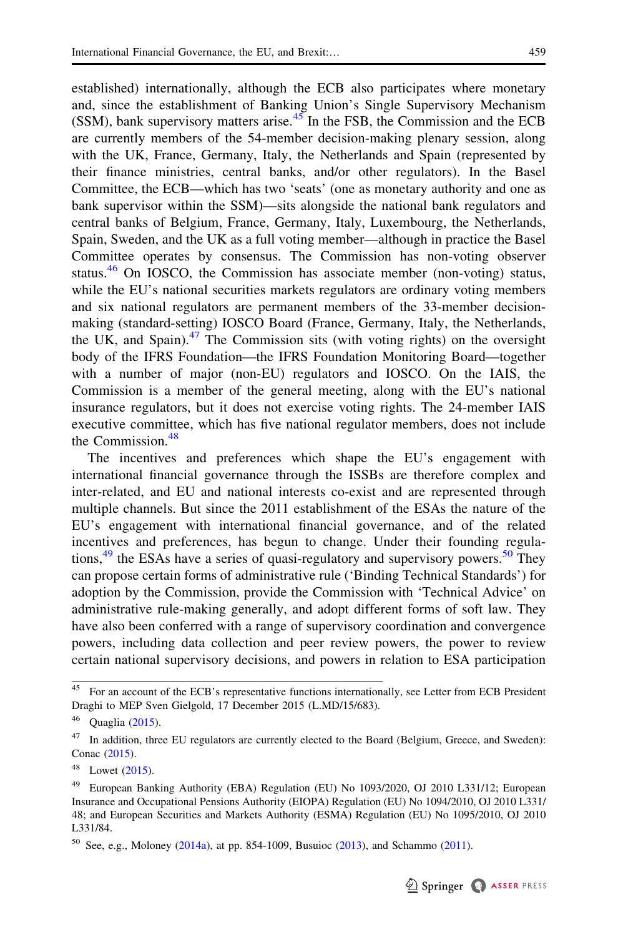established) internationally, although the ECB also participates where monetary and, since the establishment of Banking Union's Single Supervisory Mechanism (SSM), bank supervisory matters arise.<sup>45</sup> In the FSB, the Commission and the ECB are currently members of the 54-member decision-making plenary session, along with the UK, France, Germany, Italy, the Netherlands and Spain (represented by their finance ministries, central banks, and/or other regulators). In the Basel Committee, the ECB—which has two 'seats' (one as monetary authority and one as bank supervisor within the SSM)—sits alongside the national bank regulators and central banks of Belgium, France, Germany, Italy, Luxembourg, the Netherlands, Spain, Sweden, and the UK as a full voting member—although in practice the Basel Committee operates by consensus. The Commission has non-voting observer status. $46$  On IOSCO, the Commission has associate member (non-voting) status, while the EU's national securities markets regulators are ordinary voting members and six national regulators are permanent members of the 33-member decisionmaking (standard-setting) IOSCO Board (France, Germany, Italy, the Netherlands, the UK, and Spain). $47$  The Commission sits (with voting rights) on the oversight body of the IFRS Foundation—the IFRS Foundation Monitoring Board—together with a number of major (non-EU) regulators and IOSCO. On the IAIS, the Commission is a member of the general meeting, along with the EU's national insurance regulators, but it does not exercise voting rights. The 24-member IAIS executive committee, which has five national regulator members, does not include the Commission.<sup>48</sup>

The incentives and preferences which shape the EU's engagement with international financial governance through the ISSBs are therefore complex and inter-related, and EU and national interests co-exist and are represented through multiple channels. But since the 2011 establishment of the ESAs the nature of the EU's engagement with international financial governance, and of the related incentives and preferences, has begun to change. Under their founding regulations,<sup>49</sup> the ESAs have a series of quasi-regulatory and supervisory powers.<sup>50</sup> They can propose certain forms of administrative rule ('Binding Technical Standards') for adoption by the Commission, provide the Commission with 'Technical Advice' on administrative rule-making generally, and adopt different forms of soft law. They have also been conferred with a range of supervisory coordination and convergence powers, including data collection and peer review powers, the power to review certain national supervisory decisions, and powers in relation to ESA participation

<sup>&</sup>lt;sup>45</sup> For an account of the ECB's representative functions internationally, see Letter from ECB President Draghi to MEP Sven Gielgold, 17 December 2015 (L.MD/15/683).

 $46$  Quaglia [\(2015](#page-29-0)).

<sup>&</sup>lt;sup>47</sup> In addition, three EU regulators are currently elected to the Board (Belgium, Greece, and Sweden): Conac ([2015\)](#page-26-0).

 $48$  Lowet [\(2015](#page-29-0)).

<sup>49</sup> European Banking Authority (EBA) Regulation (EU) No 1093/2020, OJ 2010 L331/12; European Insurance and Occupational Pensions Authority (EIOPA) Regulation (EU) No 1094/2010, OJ 2010 L331/ 48; and European Securities and Markets Authority (ESMA) Regulation (EU) No 1095/2010, OJ 2010 L331/84.

 $50$  See, e.g., Moloney [\(2014a\)](#page-29-0), at pp. 854-1009, Busuioc ([2013](#page-26-0)), and Schammo [\(2011\)](#page-29-0).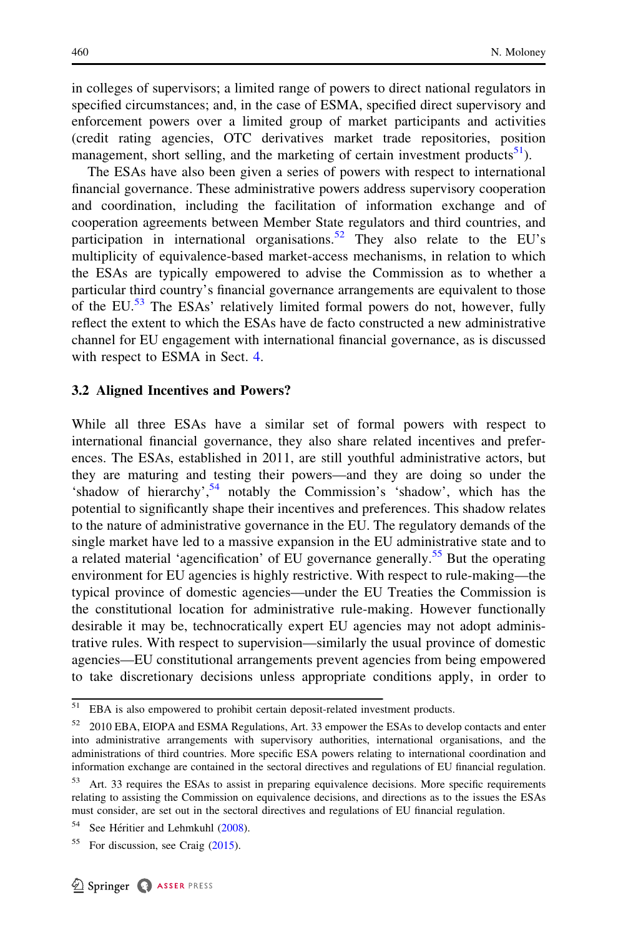in colleges of supervisors; a limited range of powers to direct national regulators in specified circumstances; and, in the case of ESMA, specified direct supervisory and enforcement powers over a limited group of market participants and activities (credit rating agencies, OTC derivatives market trade repositories, position management, short selling, and the marketing of certain investment products $51$ .

The ESAs have also been given a series of powers with respect to international financial governance. These administrative powers address supervisory cooperation and coordination, including the facilitation of information exchange and of cooperation agreements between Member State regulators and third countries, and participation in international organisations.<sup>52</sup> They also relate to the EU's multiplicity of equivalence-based market-access mechanisms, in relation to which the ESAs are typically empowered to advise the Commission as to whether a particular third country's financial governance arrangements are equivalent to those of the EU.<sup>53</sup> The ESAs' relatively limited formal powers do not, however, fully reflect the extent to which the ESAs have de facto constructed a new administrative channel for EU engagement with international financial governance, as is discussed with respect to ESMA in Sect. [4](#page-14-0).

#### 3.2 Aligned Incentives and Powers?

While all three ESAs have a similar set of formal powers with respect to international financial governance, they also share related incentives and preferences. The ESAs, established in 2011, are still youthful administrative actors, but they are maturing and testing their powers—and they are doing so under the 'shadow of hierarchy',  $54$  notably the Commission's 'shadow', which has the potential to significantly shape their incentives and preferences. This shadow relates to the nature of administrative governance in the EU. The regulatory demands of the single market have led to a massive expansion in the EU administrative state and to a related material 'agencification' of EU governance generally.<sup>55</sup> But the operating environment for EU agencies is highly restrictive. With respect to rule-making—the typical province of domestic agencies—under the EU Treaties the Commission is the constitutional location for administrative rule-making. However functionally desirable it may be, technocratically expert EU agencies may not adopt administrative rules. With respect to supervision—similarly the usual province of domestic agencies—EU constitutional arrangements prevent agencies from being empowered to take discretionary decisions unless appropriate conditions apply, in order to

<sup>51</sup> EBA is also empowered to prohibit certain deposit-related investment products.

 $52$  2010 EBA, EIOPA and ESMA Regulations, Art. 33 empower the ESAs to develop contacts and enter into administrative arrangements with supervisory authorities, international organisations, and the administrations of third countries. More specific ESA powers relating to international coordination and information exchange are contained in the sectoral directives and regulations of EU financial regulation.

<sup>53</sup> Art. 33 requires the ESAs to assist in preparing equivalence decisions. More specific requirements relating to assisting the Commission on equivalence decisions, and directions as to the issues the ESAs must consider, are set out in the sectoral directives and regulations of EU financial regulation.

<sup>&</sup>lt;sup>54</sup> See Héritier and Lehmkuhl [\(2008](#page-28-0)).

For discussion, see Craig ([2015\)](#page-26-0).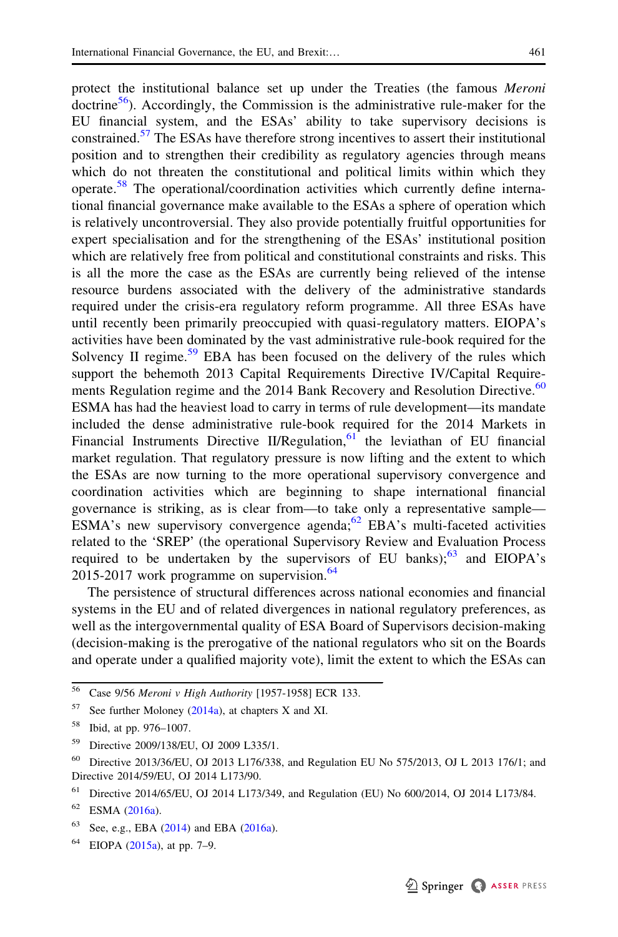protect the institutional balance set up under the Treaties (the famous Meroni doctrine<sup>56</sup>). Accordingly, the Commission is the administrative rule-maker for the EU financial system, and the ESAs' ability to take supervisory decisions is constrained.<sup>57</sup> The ESAs have therefore strong incentives to assert their institutional position and to strengthen their credibility as regulatory agencies through means which do not threaten the constitutional and political limits within which they operate.<sup>58</sup> The operational/coordination activities which currently define international financial governance make available to the ESAs a sphere of operation which is relatively uncontroversial. They also provide potentially fruitful opportunities for expert specialisation and for the strengthening of the ESAs' institutional position which are relatively free from political and constitutional constraints and risks. This is all the more the case as the ESAs are currently being relieved of the intense resource burdens associated with the delivery of the administrative standards required under the crisis-era regulatory reform programme. All three ESAs have until recently been primarily preoccupied with quasi-regulatory matters. EIOPA's activities have been dominated by the vast administrative rule-book required for the Solvency II regime.<sup>59</sup> EBA has been focused on the delivery of the rules which support the behemoth 2013 Capital Requirements Directive IV/Capital Requirements Regulation regime and the 2014 Bank Recovery and Resolution Directive.<sup>60</sup> ESMA has had the heaviest load to carry in terms of rule development—its mandate included the dense administrative rule-book required for the 2014 Markets in Financial Instruments Directive II/Regulation, $61$  the leviathan of EU financial market regulation. That regulatory pressure is now lifting and the extent to which the ESAs are now turning to the more operational supervisory convergence and coordination activities which are beginning to shape international financial governance is striking, as is clear from—to take only a representative sample— ESMA's new supervisory convergence agenda;62 EBA's multi-faceted activities related to the 'SREP' (the operational Supervisory Review and Evaluation Process required to be undertaken by the supervisors of EU banks); $63$  and EIOPA's 2015-2017 work programme on supervision. $64$ 

The persistence of structural differences across national economies and financial systems in the EU and of related divergences in national regulatory preferences, as well as the intergovernmental quality of ESA Board of Supervisors decision-making (decision-making is the prerogative of the national regulators who sit on the Boards and operate under a qualified majority vote), limit the extent to which the ESAs can

<sup>56</sup> Case 9/56 Meroni v High Authority [1957-1958] ECR 133.

 $57$  See further Moloney [\(2014a\)](#page-29-0), at chapters X and XI.

<sup>58</sup> Ibid, at pp. 976–1007.

<sup>59</sup> Directive 2009/138/EU, OJ 2009 L335/1.

 $^{60}$  Directive 2013/36/EU, OJ 2013 L176/338, and Regulation EU No 575/2013, OJ L 2013 176/1; and Directive 2014/59/EU, OJ 2014 L173/90.

<sup>61</sup> Directive 2014/65/EU, OJ 2014 L173/349, and Regulation (EU) No 600/2014, OJ 2014 L173/84.

 $62$  ESMA ([2016a](#page-27-0)).

<sup>63</sup> See, e.g., EBA  $(2014)$  $(2014)$  and EBA  $(2016a)$  $(2016a)$  $(2016a)$ .

<sup>64</sup> EIOPA [\(2015a\)](#page-27-0), at pp. 7–9.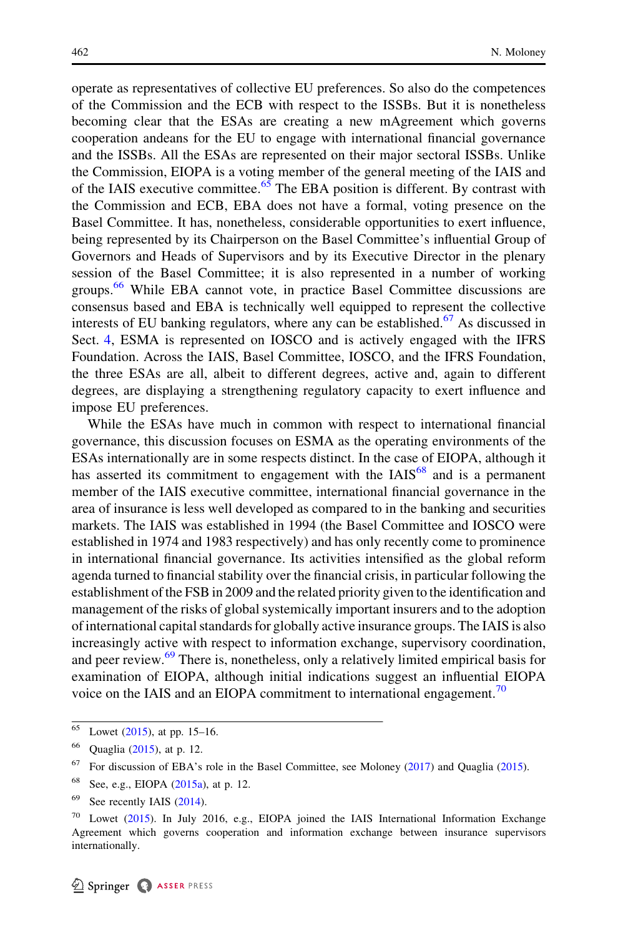operate as representatives of collective EU preferences. So also do the competences of the Commission and the ECB with respect to the ISSBs. But it is nonetheless becoming clear that the ESAs are creating a new mAgreement which governs cooperation andeans for the EU to engage with international financial governance and the ISSBs. All the ESAs are represented on their major sectoral ISSBs. Unlike the Commission, EIOPA is a voting member of the general meeting of the IAIS and of the IAIS executive committee.<sup>65</sup> The EBA position is different. By contrast with the Commission and ECB, EBA does not have a formal, voting presence on the Basel Committee. It has, nonetheless, considerable opportunities to exert influence, being represented by its Chairperson on the Basel Committee's influential Group of Governors and Heads of Supervisors and by its Executive Director in the plenary session of the Basel Committee; it is also represented in a number of working groups.<sup>66</sup> While EBA cannot vote, in practice Basel Committee discussions are consensus based and EBA is technically well equipped to represent the collective interests of EU banking regulators, where any can be established.<sup>67</sup> As discussed in Sect. [4](#page-14-0), ESMA is represented on IOSCO and is actively engaged with the IFRS Foundation. Across the IAIS, Basel Committee, IOSCO, and the IFRS Foundation, the three ESAs are all, albeit to different degrees, active and, again to different degrees, are displaying a strengthening regulatory capacity to exert influence and impose EU preferences.

While the ESAs have much in common with respect to international financial governance, this discussion focuses on ESMA as the operating environments of the ESAs internationally are in some respects distinct. In the case of EIOPA, although it has asserted its commitment to engagement with the IAIS<sup>68</sup> and is a permanent member of the IAIS executive committee, international financial governance in the area of insurance is less well developed as compared to in the banking and securities markets. The IAIS was established in 1994 (the Basel Committee and IOSCO were established in 1974 and 1983 respectively) and has only recently come to prominence in international financial governance. Its activities intensified as the global reform agenda turned to financial stability over the financial crisis, in particular following the establishment of the FSB in 2009 and the related priority given to the identification and management of the risks of global systemically important insurers and to the adoption of international capital standards for globally active insurance groups. The IAIS is also increasingly active with respect to information exchange, supervisory coordination, and peer review. $69$  There is, nonetheless, only a relatively limited empirical basis for examination of EIOPA, although initial indications suggest an influential EIOPA voice on the IAIS and an EIOPA commitment to international engagement.<sup>70</sup>

 $65$  Lowet [\(2015](#page-29-0)), at pp. 15–16.

Quaglia [\(2015](#page-29-0)), at p. 12.

 $67$  For discussion of EBA's role in the Basel Committee, see Moloney [\(2017](#page-29-0)) and Quaglia [\(2015](#page-29-0)).

<sup>68</sup> See, e.g., EIOPA ([2015a](#page-27-0)), at p. 12.

<sup>69</sup> See recently IAIS ([2014\)](#page-28-0).

<sup>&</sup>lt;sup>70</sup> Lowet ([2015\)](#page-29-0). In July 2016, e.g., EIOPA joined the IAIS International Information Exchange Agreement which governs cooperation and information exchange between insurance supervisors internationally.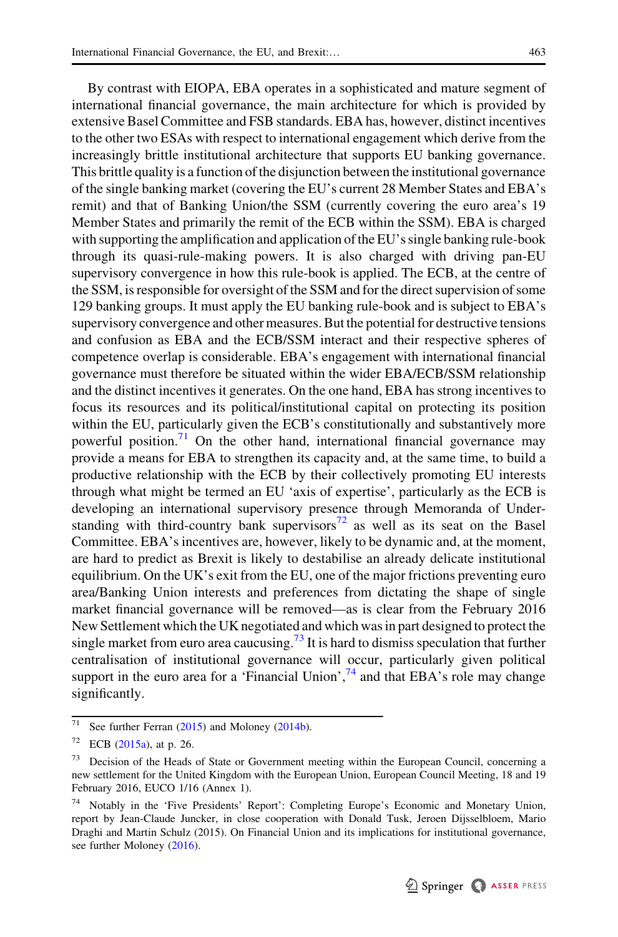By contrast with EIOPA, EBA operates in a sophisticated and mature segment of international financial governance, the main architecture for which is provided by extensive Basel Committee and FSB standards. EBA has, however, distinct incentives to the other two ESAs with respect to international engagement which derive from the increasingly brittle institutional architecture that supports EU banking governance. This brittle quality is a function of the disjunction between the institutional governance of the single banking market (covering the EU's current 28 Member States and EBA's remit) and that of Banking Union/the SSM (currently covering the euro area's 19 Member States and primarily the remit of the ECB within the SSM). EBA is charged with supporting the amplification and application of the EU's single banking rule-book through its quasi-rule-making powers. It is also charged with driving pan-EU supervisory convergence in how this rule-book is applied. The ECB, at the centre of the SSM, is responsible for oversight of the SSM and for the direct supervision of some 129 banking groups. It must apply the EU banking rule-book and is subject to EBA's supervisory convergence and other measures. But the potential for destructive tensions and confusion as EBA and the ECB/SSM interact and their respective spheres of competence overlap is considerable. EBA's engagement with international financial governance must therefore be situated within the wider EBA/ECB/SSM relationship and the distinct incentives it generates. On the one hand, EBA has strong incentives to focus its resources and its political/institutional capital on protecting its position within the EU, particularly given the ECB's constitutionally and substantively more powerful position. $11$  On the other hand, international financial governance may provide a means for EBA to strengthen its capacity and, at the same time, to build a productive relationship with the ECB by their collectively promoting EU interests through what might be termed an EU 'axis of expertise', particularly as the ECB is developing an international supervisory presence through Memoranda of Understanding with third-country bank supervisors<sup>72</sup> as well as its seat on the Basel Committee. EBA's incentives are, however, likely to be dynamic and, at the moment, are hard to predict as Brexit is likely to destabilise an already delicate institutional equilibrium. On the UK's exit from the EU, one of the major frictions preventing euro area/Banking Union interests and preferences from dictating the shape of single market financial governance will be removed—as is clear from the February 2016 New Settlement which the UK negotiated and which was in part designed to protect the single market from euro area caucusing.<sup>73</sup> It is hard to dismiss speculation that further centralisation of institutional governance will occur, particularly given political support in the euro area for a 'Financial Union',  $74$  and that EBA's role may change significantly.

 $71$  See further Ferran [\(2015](#page-28-0)) and Moloney ([2014b](#page-29-0)).

 $72$  ECB [\(2015a\)](#page-26-0), at p. 26.

 $73$  Decision of the Heads of State or Government meeting within the European Council, concerning a new settlement for the United Kingdom with the European Union, European Council Meeting, 18 and 19 February 2016, EUCO 1/16 (Annex 1).

Notably in the 'Five Presidents' Report': Completing Europe's Economic and Monetary Union, report by Jean-Claude Juncker, in close cooperation with Donald Tusk, Jeroen Dijsselbloem, Mario Draghi and Martin Schulz (2015). On Financial Union and its implications for institutional governance, see further Moloney [\(2016](#page-29-0)).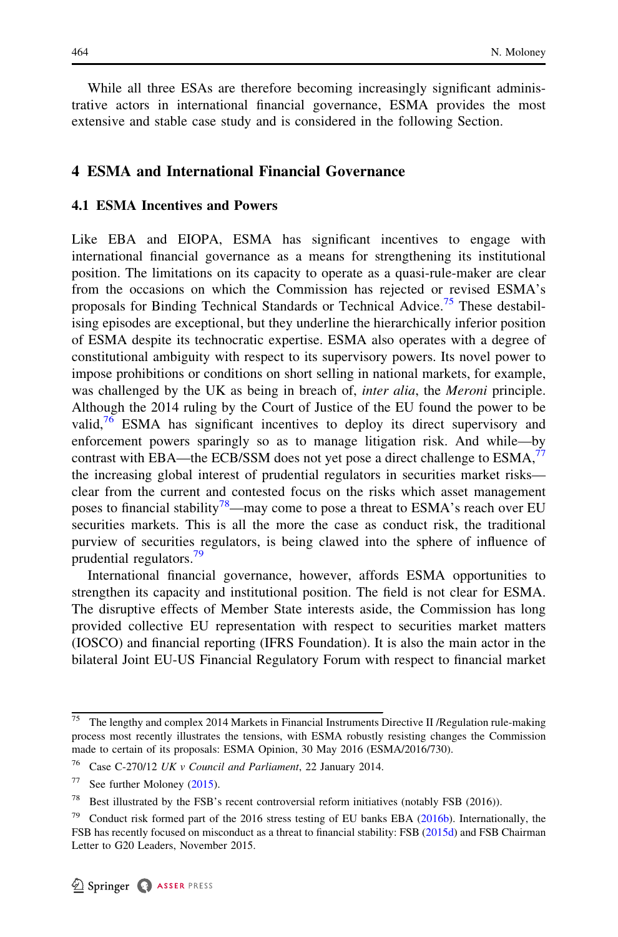<span id="page-14-0"></span>While all three ESAs are therefore becoming increasingly significant administrative actors in international financial governance, ESMA provides the most extensive and stable case study and is considered in the following Section.

#### 4 ESMA and International Financial Governance

#### 4.1 ESMA Incentives and Powers

Like EBA and EIOPA, ESMA has significant incentives to engage with international financial governance as a means for strengthening its institutional position. The limitations on its capacity to operate as a quasi-rule-maker are clear from the occasions on which the Commission has rejected or revised ESMA's proposals for Binding Technical Standards or Technical Advice.<sup>75</sup> These destabilising episodes are exceptional, but they underline the hierarchically inferior position of ESMA despite its technocratic expertise. ESMA also operates with a degree of constitutional ambiguity with respect to its supervisory powers. Its novel power to impose prohibitions or conditions on short selling in national markets, for example, was challenged by the UK as being in breach of, inter alia, the Meroni principle. Although the 2014 ruling by the Court of Justice of the EU found the power to be valid, $\frac{76}{10}$  ESMA has significant incentives to deploy its direct supervisory and enforcement powers sparingly so as to manage litigation risk. And while—by contrast with EBA—the ECB/SSM does not yet pose a direct challenge to  $ESMA$ <sup>77</sup> the increasing global interest of prudential regulators in securities market risks clear from the current and contested focus on the risks which asset management poses to financial stability<sup>78</sup>—may come to pose a threat to ESMA's reach over EU securities markets. This is all the more the case as conduct risk, the traditional purview of securities regulators, is being clawed into the sphere of influence of prudential regulators.<sup>79</sup>

International financial governance, however, affords ESMA opportunities to strengthen its capacity and institutional position. The field is not clear for ESMA. The disruptive effects of Member State interests aside, the Commission has long provided collective EU representation with respect to securities market matters (IOSCO) and financial reporting (IFRS Foundation). It is also the main actor in the bilateral Joint EU-US Financial Regulatory Forum with respect to financial market

<sup>75</sup> The lengthy and complex 2014 Markets in Financial Instruments Directive II /Regulation rule-making process most recently illustrates the tensions, with ESMA robustly resisting changes the Commission made to certain of its proposals: ESMA Opinion, 30 May 2016 (ESMA/2016/730).

<sup>76</sup> Case C-270/12 UK v Council and Parliament, 22 January 2014.

<sup>77</sup> See further Moloney [\(2015](#page-29-0)).

<sup>&</sup>lt;sup>78</sup> Best illustrated by the FSB's recent controversial reform initiatives (notably FSB (2016)).

<sup>&</sup>lt;sup>79</sup> Conduct risk formed part of the 2016 stress testing of EU banks EBA ([2016b](#page-26-0)). Internationally, the FSB has recently focused on misconduct as a threat to financial stability: FSB ([2015d\)](#page-28-0) and FSB Chairman Letter to G20 Leaders, November 2015.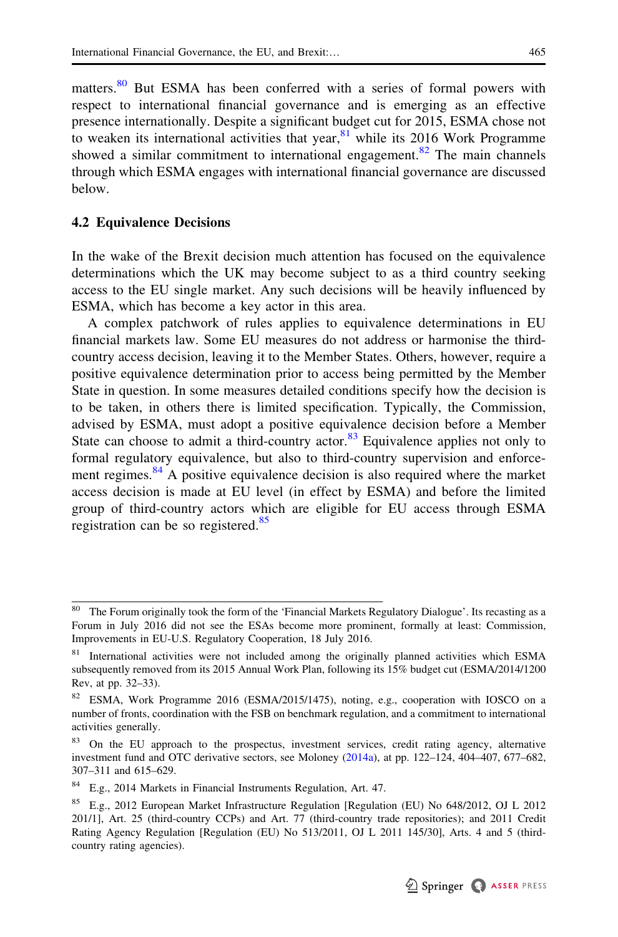<span id="page-15-0"></span>matters.<sup>80</sup> But ESMA has been conferred with a series of formal powers with respect to international financial governance and is emerging as an effective presence internationally. Despite a significant budget cut for 2015, ESMA chose not to weaken its international activities that year,  $81$  while its 2016 Work Programme showed a similar commitment to international engagement.<sup>82</sup> The main channels through which ESMA engages with international financial governance are discussed below.

#### 4.2 Equivalence Decisions

In the wake of the Brexit decision much attention has focused on the equivalence determinations which the UK may become subject to as a third country seeking access to the EU single market. Any such decisions will be heavily influenced by ESMA, which has become a key actor in this area.

A complex patchwork of rules applies to equivalence determinations in EU financial markets law. Some EU measures do not address or harmonise the thirdcountry access decision, leaving it to the Member States. Others, however, require a positive equivalence determination prior to access being permitted by the Member State in question. In some measures detailed conditions specify how the decision is to be taken, in others there is limited specification. Typically, the Commission, advised by ESMA, must adopt a positive equivalence decision before a Member State can choose to admit a third-country actor.<sup>83</sup> Equivalence applies not only to formal regulatory equivalence, but also to third-country supervision and enforcement regimes.<sup>84</sup> A positive equivalence decision is also required where the market access decision is made at EU level (in effect by ESMA) and before the limited group of third-country actors which are eligible for EU access through ESMA registration can be so registered. $85$ 

<sup>&</sup>lt;sup>80</sup> The Forum originally took the form of the 'Financial Markets Regulatory Dialogue'. Its recasting as a Forum in July 2016 did not see the ESAs become more prominent, formally at least: Commission, Improvements in EU-U.S. Regulatory Cooperation, 18 July 2016.

<sup>&</sup>lt;sup>81</sup> International activities were not included among the originally planned activities which ESMA subsequently removed from its 2015 Annual Work Plan, following its 15% budget cut (ESMA/2014/1200 Rev, at pp. 32–33).

<sup>82</sup> ESMA, Work Programme 2016 (ESMA/2015/1475), noting, e.g., cooperation with IOSCO on a number of fronts, coordination with the FSB on benchmark regulation, and a commitment to international activities generally.

<sup>&</sup>lt;sup>83</sup> On the EU approach to the prospectus, investment services, credit rating agency, alternative investment fund and OTC derivative sectors, see Moloney [\(2014a\)](#page-29-0), at pp. 122–124, 404–407, 677–682, 307–311 and 615–629.

<sup>84</sup> E.g., 2014 Markets in Financial Instruments Regulation, Art. 47.

<sup>85</sup> E.g., 2012 European Market Infrastructure Regulation [Regulation (EU) No 648/2012, OJ L 2012 201/1], Art. 25 (third-country CCPs) and Art. 77 (third-country trade repositories); and 2011 Credit Rating Agency Regulation [Regulation (EU) No 513/2011, OJ L 2011 145/30], Arts. 4 and 5 (thirdcountry rating agencies).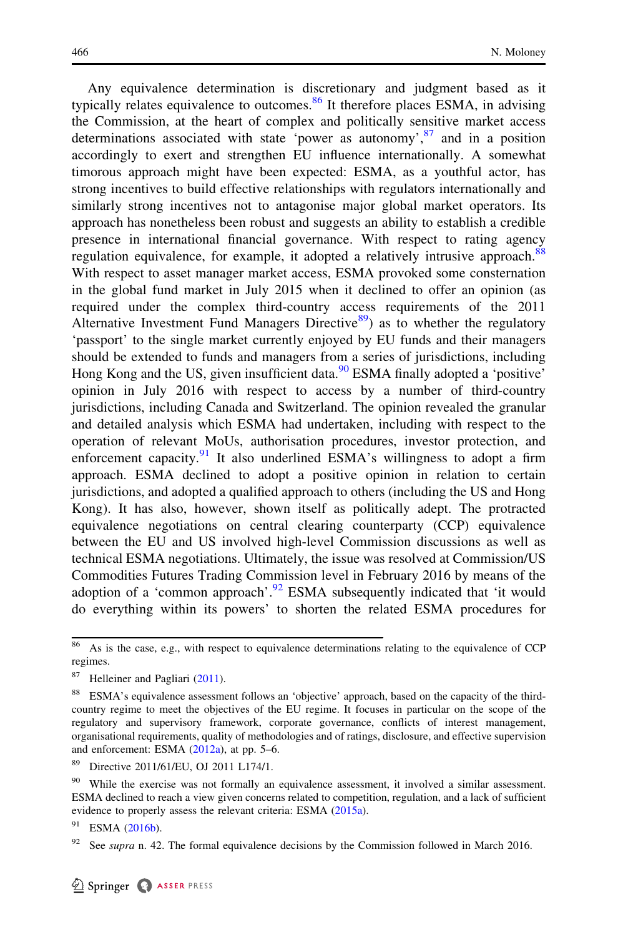Any equivalence determination is discretionary and judgment based as it typically relates equivalence to outcomes.<sup>86</sup> It therefore places ESMA, in advising the Commission, at the heart of complex and politically sensitive market access determinations associated with state 'power as autonomy',  $87$  and in a position accordingly to exert and strengthen EU influence internationally. A somewhat timorous approach might have been expected: ESMA, as a youthful actor, has strong incentives to build effective relationships with regulators internationally and similarly strong incentives not to antagonise major global market operators. Its approach has nonetheless been robust and suggests an ability to establish a credible presence in international financial governance. With respect to rating agency regulation equivalence, for example, it adopted a relatively intrusive approach.<sup>88</sup> With respect to asset manager market access, ESMA provoked some consternation in the global fund market in July 2015 when it declined to offer an opinion (as required under the complex third-country access requirements of the 2011 Alternative Investment Fund Managers Directive<sup>89</sup>) as to whether the regulatory 'passport' to the single market currently enjoyed by EU funds and their managers should be extended to funds and managers from a series of jurisdictions, including Hong Kong and the US, given insufficient data.<sup>90</sup> ESMA finally adopted a 'positive' opinion in July 2016 with respect to access by a number of third-country jurisdictions, including Canada and Switzerland. The opinion revealed the granular and detailed analysis which ESMA had undertaken, including with respect to the operation of relevant MoUs, authorisation procedures, investor protection, and enforcement capacity.<sup>91</sup> It also underlined ESMA's willingness to adopt a firm approach. ESMA declined to adopt a positive opinion in relation to certain jurisdictions, and adopted a qualified approach to others (including the US and Hong Kong). It has also, however, shown itself as politically adept. The protracted equivalence negotiations on central clearing counterparty (CCP) equivalence between the EU and US involved high-level Commission discussions as well as technical ESMA negotiations. Ultimately, the issue was resolved at Commission/US Commodities Futures Trading Commission level in February 2016 by means of the adoption of a 'common approach'. $\frac{92}{2}$  ESMA subsequently indicated that 'it would do everything within its powers' to shorten the related ESMA procedures for

<sup>86</sup> As is the case, e.g., with respect to equivalence determinations relating to the equivalence of CCP regimes.

<sup>87</sup> Helleiner and Pagliari [\(2011](#page-28-0)).

<sup>&</sup>lt;sup>88</sup> ESMA's equivalence assessment follows an 'objective' approach, based on the capacity of the thirdcountry regime to meet the objectives of the EU regime. It focuses in particular on the scope of the regulatory and supervisory framework, corporate governance, conflicts of interest management, organisational requirements, quality of methodologies and of ratings, disclosure, and effective supervision and enforcement: ESMA [\(2012a\)](#page-27-0), at pp. 5–6.

<sup>89</sup> Directive 2011/61/EU, OJ 2011 L174/1.

<sup>&</sup>lt;sup>90</sup> While the exercise was not formally an equivalence assessment, it involved a similar assessment. ESMA declined to reach a view given concerns related to competition, regulation, and a lack of sufficient evidence to properly assess the relevant criteria: ESMA [\(2015a\)](#page-27-0).

<sup>&</sup>lt;sup>91</sup> ESMA ([2016b\)](#page-27-0).

See *supra* n. 42. The formal equivalence decisions by the Commission followed in March 2016.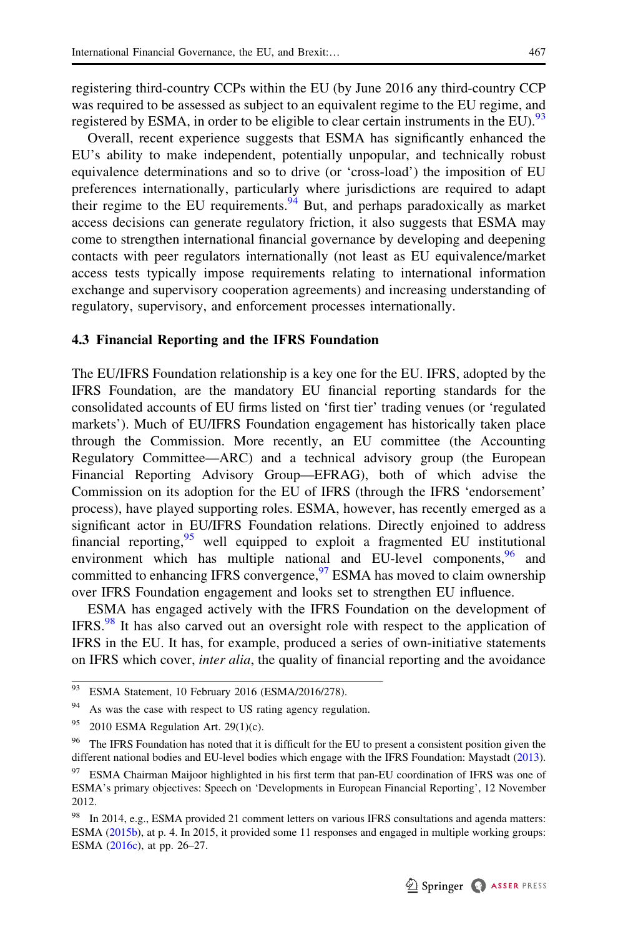registering third-country CCPs within the EU (by June 2016 any third-country CCP was required to be assessed as subject to an equivalent regime to the EU regime, and registered by ESMA, in order to be eligible to clear certain instruments in the EU).<sup>93</sup>

Overall, recent experience suggests that ESMA has significantly enhanced the EU's ability to make independent, potentially unpopular, and technically robust equivalence determinations and so to drive (or 'cross-load') the imposition of EU preferences internationally, particularly where jurisdictions are required to adapt their regime to the EU requirements.  $94$  But, and perhaps paradoxically as market access decisions can generate regulatory friction, it also suggests that ESMA may come to strengthen international financial governance by developing and deepening contacts with peer regulators internationally (not least as EU equivalence/market access tests typically impose requirements relating to international information exchange and supervisory cooperation agreements) and increasing understanding of regulatory, supervisory, and enforcement processes internationally.

#### 4.3 Financial Reporting and the IFRS Foundation

The EU/IFRS Foundation relationship is a key one for the EU. IFRS, adopted by the IFRS Foundation, are the mandatory EU financial reporting standards for the consolidated accounts of EU firms listed on 'first tier' trading venues (or 'regulated markets'). Much of EU/IFRS Foundation engagement has historically taken place through the Commission. More recently, an EU committee (the Accounting Regulatory Committee—ARC) and a technical advisory group (the European Financial Reporting Advisory Group—EFRAG), both of which advise the Commission on its adoption for the EU of IFRS (through the IFRS 'endorsement' process), have played supporting roles. ESMA, however, has recently emerged as a significant actor in EU/IFRS Foundation relations. Directly enjoined to address financial reporting, <sup>95</sup> well equipped to exploit a fragmented EU institutional environment which has multiple national and EU-level components,  $96$  and committed to enhancing IFRS convergence,  $97$  ESMA has moved to claim ownership over IFRS Foundation engagement and looks set to strengthen EU influence.

ESMA has engaged actively with the IFRS Foundation on the development of IFRS.<sup>98</sup> It has also carved out an oversight role with respect to the application of IFRS in the EU. It has, for example, produced a series of own-initiative statements on IFRS which cover, *inter alia*, the quality of financial reporting and the avoidance

<sup>&</sup>lt;sup>98</sup> In 2014, e.g., ESMA provided 21 comment letters on various IFRS consultations and agenda matters: ESMA ([2015b\)](#page-27-0), at p. 4. In 2015, it provided some 11 responses and engaged in multiple working groups: ESMA [\(2016c\)](#page-27-0), at pp. 26–27.



<sup>93</sup> ESMA Statement, 10 February 2016 (ESMA/2016/278).

<sup>&</sup>lt;sup>94</sup> As was the case with respect to US rating agency regulation.

 $95$  2010 ESMA Regulation Art. 29(1)(c).

<sup>&</sup>lt;sup>96</sup> The IFRS Foundation has noted that it is difficult for the EU to present a consistent position given the different national bodies and EU-level bodies which engage with the IFRS Foundation: Maystadt ([2013\)](#page-29-0).

<sup>&</sup>lt;sup>97</sup> ESMA Chairman Maijoor highlighted in his first term that pan-EU coordination of IFRS was one of ESMA's primary objectives: Speech on 'Developments in European Financial Reporting', 12 November 2012.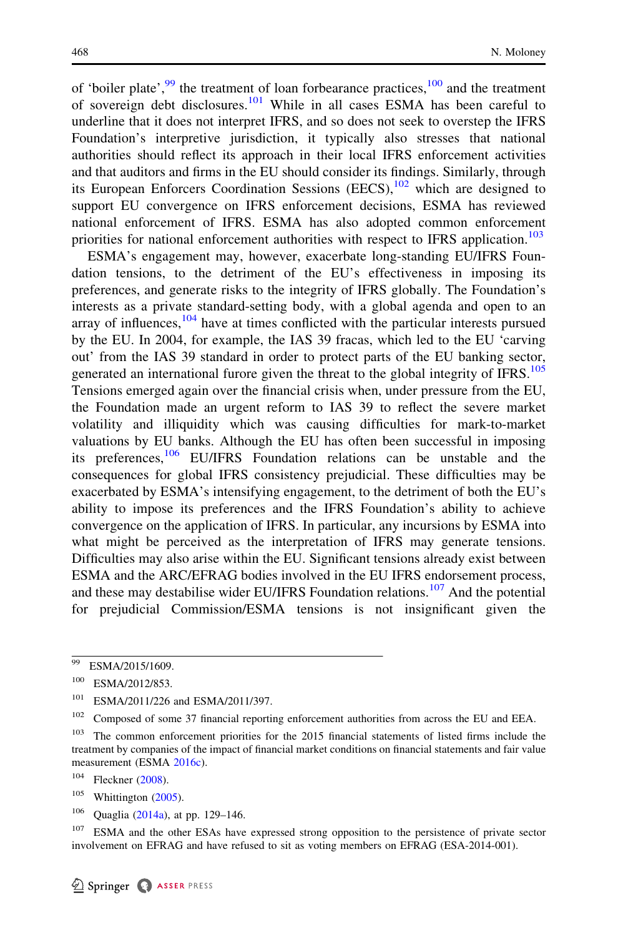of 'boiler plate',<sup>99</sup> the treatment of loan forbearance practices,<sup>100</sup> and the treatment of sovereign debt disclosures.<sup>101</sup> While in all cases ESMA has been careful to underline that it does not interpret IFRS, and so does not seek to overstep the IFRS Foundation's interpretive jurisdiction, it typically also stresses that national authorities should reflect its approach in their local IFRS enforcement activities and that auditors and firms in the EU should consider its findings. Similarly, through its European Enforcers Coordination Sessions  $(EECS)$ ,  $^{102}$  which are designed to support EU convergence on IFRS enforcement decisions, ESMA has reviewed national enforcement of IFRS. ESMA has also adopted common enforcement priorities for national enforcement authorities with respect to IFRS application.<sup>103</sup>

ESMA's engagement may, however, exacerbate long-standing EU/IFRS Foundation tensions, to the detriment of the EU's effectiveness in imposing its preferences, and generate risks to the integrity of IFRS globally. The Foundation's interests as a private standard-setting body, with a global agenda and open to an array of influences, $104$  have at times conflicted with the particular interests pursued by the EU. In 2004, for example, the IAS 39 fracas, which led to the EU 'carving out' from the IAS 39 standard in order to protect parts of the EU banking sector, generated an international furore given the threat to the global integrity of IFRS.<sup>105</sup> Tensions emerged again over the financial crisis when, under pressure from the EU, the Foundation made an urgent reform to IAS 39 to reflect the severe market volatility and illiquidity which was causing difficulties for mark-to-market valuations by EU banks. Although the EU has often been successful in imposing its preferences,<sup>106</sup> EU/IFRS Foundation relations can be unstable and the consequences for global IFRS consistency prejudicial. These difficulties may be exacerbated by ESMA's intensifying engagement, to the detriment of both the EU's ability to impose its preferences and the IFRS Foundation's ability to achieve convergence on the application of IFRS. In particular, any incursions by ESMA into what might be perceived as the interpretation of IFRS may generate tensions. Difficulties may also arise within the EU. Significant tensions already exist between ESMA and the ARC/EFRAG bodies involved in the EU IFRS endorsement process, and these may destabilise wider EU/IFRS Foundation relations.<sup>107</sup> And the potential for prejudicial Commission/ESMA tensions is not insignificant given the

 $\frac{99}{99}$  ESMA/2015/1609.

<sup>100</sup> ESMA/2012/853.

<sup>101</sup> ESMA/2011/226 and ESMA/2011/397.

<sup>&</sup>lt;sup>102</sup> Composed of some 37 financial reporting enforcement authorities from across the EU and EEA.

<sup>&</sup>lt;sup>103</sup> The common enforcement priorities for the 2015 financial statements of listed firms include the treatment by companies of the impact of financial market conditions on financial statements and fair value measurement (ESMA [2016c](#page-27-0)).

<sup>104</sup> Fleckner ([2008\)](#page-28-0).

 $105$  Whittington [\(2005](#page-30-0)).

 $106$  Quaglia [\(2014a\)](#page-29-0), at pp. 129–146.

<sup>&</sup>lt;sup>107</sup> ESMA and the other ESAs have expressed strong opposition to the persistence of private sector involvement on EFRAG and have refused to sit as voting members on EFRAG (ESA-2014-001).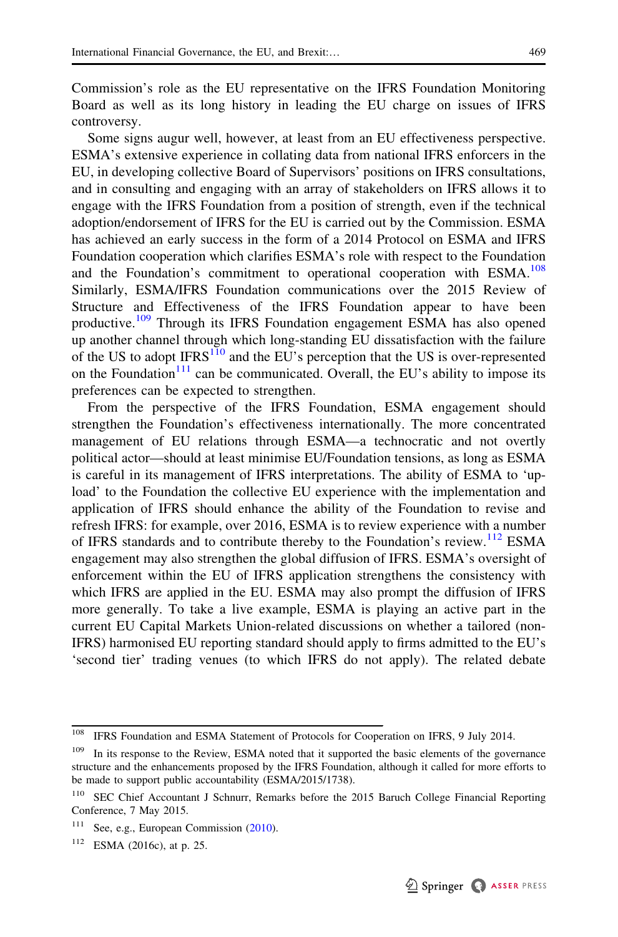Commission's role as the EU representative on the IFRS Foundation Monitoring Board as well as its long history in leading the EU charge on issues of IFRS controversy.

Some signs augur well, however, at least from an EU effectiveness perspective. ESMA's extensive experience in collating data from national IFRS enforcers in the EU, in developing collective Board of Supervisors' positions on IFRS consultations, and in consulting and engaging with an array of stakeholders on IFRS allows it to engage with the IFRS Foundation from a position of strength, even if the technical adoption/endorsement of IFRS for the EU is carried out by the Commission. ESMA has achieved an early success in the form of a 2014 Protocol on ESMA and IFRS Foundation cooperation which clarifies ESMA's role with respect to the Foundation and the Foundation's commitment to operational cooperation with ESMA.<sup>108</sup> Similarly, ESMA/IFRS Foundation communications over the 2015 Review of Structure and Effectiveness of the IFRS Foundation appear to have been productive.<sup>109</sup> Through its IFRS Foundation engagement ESMA has also opened up another channel through which long-standing EU dissatisfaction with the failure of the US to adopt  $IFRS<sup>110</sup>$  and the EU's perception that the US is over-represented on the Foundation $111$  can be communicated. Overall, the EU's ability to impose its preferences can be expected to strengthen.

From the perspective of the IFRS Foundation, ESMA engagement should strengthen the Foundation's effectiveness internationally. The more concentrated management of EU relations through ESMA—a technocratic and not overtly political actor—should at least minimise EU/Foundation tensions, as long as ESMA is careful in its management of IFRS interpretations. The ability of ESMA to 'upload' to the Foundation the collective EU experience with the implementation and application of IFRS should enhance the ability of the Foundation to revise and refresh IFRS: for example, over 2016, ESMA is to review experience with a number of IFRS standards and to contribute thereby to the Foundation's review.<sup>112</sup> ESMA engagement may also strengthen the global diffusion of IFRS. ESMA's oversight of enforcement within the EU of IFRS application strengthens the consistency with which IFRS are applied in the EU. ESMA may also prompt the diffusion of IFRS more generally. To take a live example, ESMA is playing an active part in the current EU Capital Markets Union-related discussions on whether a tailored (non-IFRS) harmonised EU reporting standard should apply to firms admitted to the EU's 'second tier' trading venues (to which IFRS do not apply). The related debate

<sup>&</sup>lt;sup>108</sup> IFRS Foundation and ESMA Statement of Protocols for Cooperation on IFRS, 9 July 2014.

<sup>&</sup>lt;sup>109</sup> In its response to the Review, ESMA noted that it supported the basic elements of the governance structure and the enhancements proposed by the IFRS Foundation, although it called for more efforts to be made to support public accountability (ESMA/2015/1738).

<sup>&</sup>lt;sup>110</sup> SEC Chief Accountant J Schnurr, Remarks before the 2015 Baruch College Financial Reporting Conference, 7 May 2015.

<sup>&</sup>lt;sup>111</sup> See, e.g., European Commission ([2010](#page-26-0)).

<sup>112</sup> ESMA (2016c), at p. 25.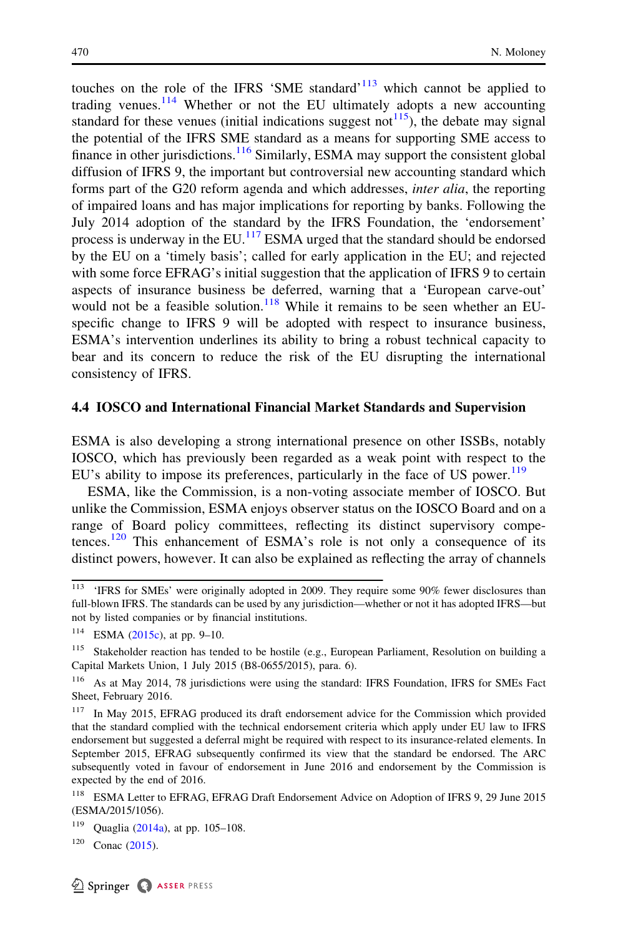touches on the role of the IFRS 'SME standard'<sup>113</sup> which cannot be applied to trading venues.<sup>114</sup> Whether or not the EU ultimately adopts a new accounting standard for these venues (initial indications suggest not<sup>115</sup>), the debate may signal the potential of the IFRS SME standard as a means for supporting SME access to finance in other jurisdictions.<sup>116</sup> Similarly, ESMA may support the consistent global diffusion of IFRS 9, the important but controversial new accounting standard which forms part of the G20 reform agenda and which addresses, inter alia, the reporting of impaired loans and has major implications for reporting by banks. Following the July 2014 adoption of the standard by the IFRS Foundation, the 'endorsement' process is underway in the EU.<sup>117</sup> ESMA urged that the standard should be endorsed by the EU on a 'timely basis'; called for early application in the EU; and rejected with some force EFRAG's initial suggestion that the application of IFRS 9 to certain aspects of insurance business be deferred, warning that a 'European carve-out' would not be a feasible solution.<sup>118</sup> While it remains to be seen whether an EUspecific change to IFRS 9 will be adopted with respect to insurance business, ESMA's intervention underlines its ability to bring a robust technical capacity to bear and its concern to reduce the risk of the EU disrupting the international consistency of IFRS.

#### 4.4 IOSCO and International Financial Market Standards and Supervision

ESMA is also developing a strong international presence on other ISSBs, notably IOSCO, which has previously been regarded as a weak point with respect to the EU's ability to impose its preferences, particularly in the face of US power.<sup>119</sup>

ESMA, like the Commission, is a non-voting associate member of IOSCO. But unlike the Commission, ESMA enjoys observer status on the IOSCO Board and on a range of Board policy committees, reflecting its distinct supervisory competences.<sup>120</sup> This enhancement of ESMA's role is not only a consequence of its distinct powers, however. It can also be explained as reflecting the array of channels

<sup>113</sup> 'IFRS for SMEs' were originally adopted in 2009. They require some 90% fewer disclosures than full-blown IFRS. The standards can be used by any jurisdiction—whether or not it has adopted IFRS—but not by listed companies or by financial institutions.

<sup>114</sup> ESMA ([2015c](#page-27-0)), at pp. 9–10.

<sup>&</sup>lt;sup>115</sup> Stakeholder reaction has tended to be hostile (e.g., European Parliament, Resolution on building a Capital Markets Union, 1 July 2015 (B8-0655/2015), para. 6).

<sup>116</sup> As at May 2014, 78 jurisdictions were using the standard: IFRS Foundation, IFRS for SMEs Fact Sheet, February 2016.

<sup>&</sup>lt;sup>117</sup> In May 2015, EFRAG produced its draft endorsement advice for the Commission which provided that the standard complied with the technical endorsement criteria which apply under EU law to IFRS endorsement but suggested a deferral might be required with respect to its insurance-related elements. In September 2015, EFRAG subsequently confirmed its view that the standard be endorsed. The ARC subsequently voted in favour of endorsement in June 2016 and endorsement by the Commission is expected by the end of 2016.

<sup>&</sup>lt;sup>118</sup> ESMA Letter to EFRAG, EFRAG Draft Endorsement Advice on Adoption of IFRS 9, 29 June 2015 (ESMA/2015/1056).

 $119$  Quaglia [\(2014a\)](#page-29-0), at pp. 105–108.

 $120$  Conac [\(2015](#page-26-0)).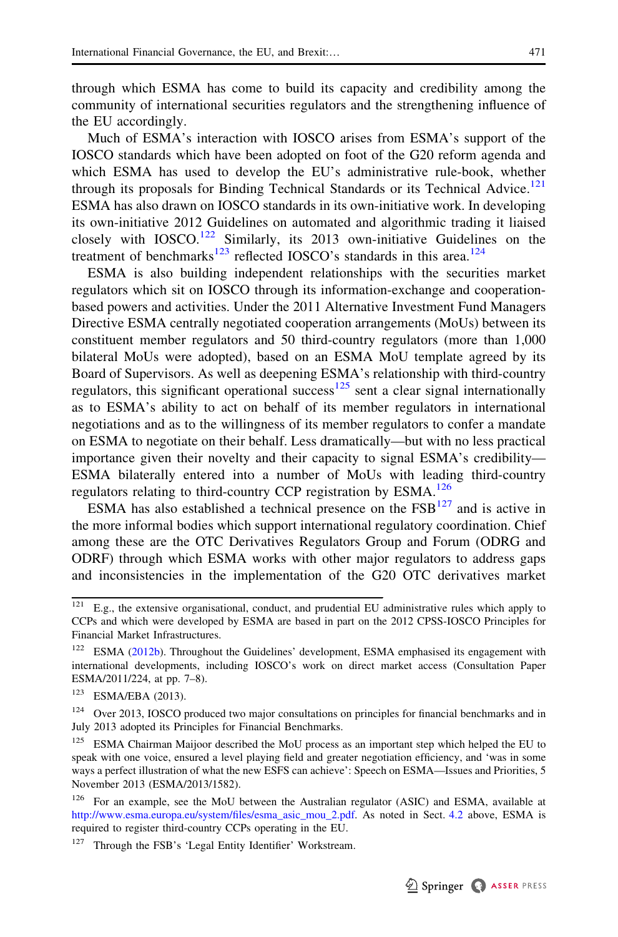through which ESMA has come to build its capacity and credibility among the community of international securities regulators and the strengthening influence of the EU accordingly.

Much of ESMA's interaction with IOSCO arises from ESMA's support of the IOSCO standards which have been adopted on foot of the G20 reform agenda and which ESMA has used to develop the EU's administrative rule-book, whether through its proposals for Binding Technical Standards or its Technical Advice.<sup>121</sup> ESMA has also drawn on IOSCO standards in its own-initiative work. In developing its own-initiative 2012 Guidelines on automated and algorithmic trading it liaised closely with IOSCO.<sup>122</sup> Similarly, its 2013 own-initiative Guidelines on the treatment of benchmarks<sup>123</sup> reflected IOSCO's standards in this area.<sup>124</sup>

ESMA is also building independent relationships with the securities market regulators which sit on IOSCO through its information-exchange and cooperationbased powers and activities. Under the 2011 Alternative Investment Fund Managers Directive ESMA centrally negotiated cooperation arrangements (MoUs) between its constituent member regulators and 50 third-country regulators (more than 1,000 bilateral MoUs were adopted), based on an ESMA MoU template agreed by its Board of Supervisors. As well as deepening ESMA's relationship with third-country regulators, this significant operational success<sup>125</sup> sent a clear signal internationally as to ESMA's ability to act on behalf of its member regulators in international negotiations and as to the willingness of its member regulators to confer a mandate on ESMA to negotiate on their behalf. Less dramatically—but with no less practical importance given their novelty and their capacity to signal ESMA's credibility— ESMA bilaterally entered into a number of MoUs with leading third-country regulators relating to third-country CCP registration by  $ESMA$ <sup>126</sup>

ESMA has also established a technical presence on the  $\text{FSB}^{127}$  and is active in the more informal bodies which support international regulatory coordination. Chief among these are the OTC Derivatives Regulators Group and Forum (ODRG and ODRF) through which ESMA works with other major regulators to address gaps and inconsistencies in the implementation of the G20 OTC derivatives market

<sup>&</sup>lt;sup>121</sup> E.g., the extensive organisational, conduct, and prudential EU administrative rules which apply to CCPs and which were developed by ESMA are based in part on the 2012 CPSS-IOSCO Principles for Financial Market Infrastructures.

 $122$  ESMA ([2012b\)](#page-27-0). Throughout the Guidelines' development, ESMA emphasised its engagement with international developments, including IOSCO's work on direct market access (Consultation Paper ESMA/2011/224, at pp. 7–8).

<sup>123</sup> ESMA/EBA (2013).

<sup>&</sup>lt;sup>124</sup> Over 2013, IOSCO produced two major consultations on principles for financial benchmarks and in July 2013 adopted its Principles for Financial Benchmarks.

<sup>&</sup>lt;sup>125</sup> ESMA Chairman Maijoor described the MoU process as an important step which helped the EU to speak with one voice, ensured a level playing field and greater negotiation efficiency, and 'was in some ways a perfect illustration of what the new ESFS can achieve': Speech on ESMA—Issues and Priorities, 5 November 2013 (ESMA/2013/1582).

<sup>126</sup> For an example, see the MoU between the Australian regulator (ASIC) and ESMA, available at [http://www.esma.europa.eu/system/files/esma\\_asic\\_mou\\_2.pdf](http://www.esma.europa.eu/system/files/esma_asic_mou_2.pdf). As noted in Sect. [4.2](#page-15-0) above, ESMA is required to register third-country CCPs operating in the EU.

<sup>127</sup> Through the FSB's 'Legal Entity Identifier' Workstream.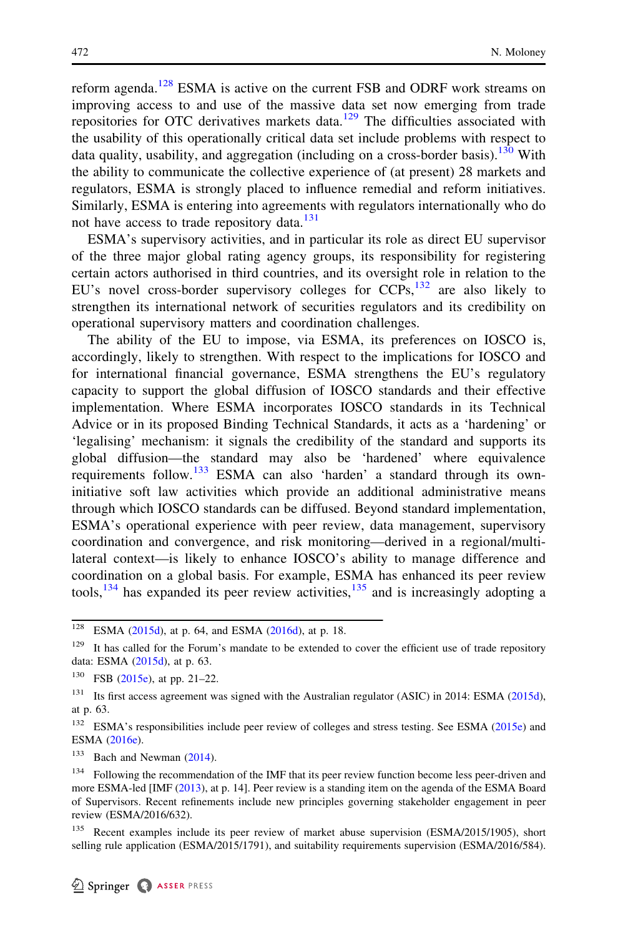reform agenda.<sup>128</sup> ESMA is active on the current FSB and ODRF work streams on improving access to and use of the massive data set now emerging from trade repositories for OTC derivatives markets data.<sup>129</sup> The difficulties associated with the usability of this operationally critical data set include problems with respect to data quality, usability, and aggregation (including on a cross-border basis).<sup>130</sup> With the ability to communicate the collective experience of (at present) 28 markets and regulators, ESMA is strongly placed to influence remedial and reform initiatives. Similarly, ESMA is entering into agreements with regulators internationally who do not have access to trade repository data.<sup>131</sup>

ESMA's supervisory activities, and in particular its role as direct EU supervisor of the three major global rating agency groups, its responsibility for registering certain actors authorised in third countries, and its oversight role in relation to the EU's novel cross-border supervisory colleges for  $CCPs$ , <sup>132</sup> are also likely to strengthen its international network of securities regulators and its credibility on operational supervisory matters and coordination challenges.

The ability of the EU to impose, via ESMA, its preferences on IOSCO is, accordingly, likely to strengthen. With respect to the implications for IOSCO and for international financial governance, ESMA strengthens the EU's regulatory capacity to support the global diffusion of IOSCO standards and their effective implementation. Where ESMA incorporates IOSCO standards in its Technical Advice or in its proposed Binding Technical Standards, it acts as a 'hardening' or 'legalising' mechanism: it signals the credibility of the standard and supports its global diffusion—the standard may also be 'hardened' where equivalence requirements follow.<sup>133</sup> ESMA can also 'harden' a standard through its owninitiative soft law activities which provide an additional administrative means through which IOSCO standards can be diffused. Beyond standard implementation, ESMA's operational experience with peer review, data management, supervisory coordination and convergence, and risk monitoring—derived in a regional/multilateral context—is likely to enhance IOSCO's ability to manage difference and coordination on a global basis. For example, ESMA has enhanced its peer review tools,  $134$  has expanded its peer review activities,  $135$  and is increasingly adopting a

 $128$  ESMA ([2015d\)](#page-27-0), at p. 64, and ESMA [\(2016d](#page-27-0)), at p. 18.

<sup>&</sup>lt;sup>129</sup> It has called for the Forum's mandate to be extended to cover the efficient use of trade repository data: ESMA ([2015d](#page-27-0)), at p. 63.

 $130$  FSB ([2015e](#page-28-0)), at pp. 21–22.

<sup>&</sup>lt;sup>131</sup> Its first access agreement was signed with the Australian regulator (ASIC) in 2014: ESMA ([2015d\)](#page-27-0), at p. 63.

<sup>&</sup>lt;sup>132</sup> ESMA's responsibilities include peer review of colleges and stress testing. See ESMA [\(2015e\)](#page-27-0) and ESMA [\(2016e\)](#page-27-0).

<sup>133</sup> Bach and Newman ([2014\)](#page-26-0).

<sup>&</sup>lt;sup>134</sup> Following the recommendation of the IMF that its peer review function become less peer-driven and more ESMA-led [IMF [\(2013](#page-28-0)), at p. 14]. Peer review is a standing item on the agenda of the ESMA Board of Supervisors. Recent refinements include new principles governing stakeholder engagement in peer review (ESMA/2016/632).

<sup>&</sup>lt;sup>135</sup> Recent examples include its peer review of market abuse supervision (ESMA/2015/1905), short selling rule application (ESMA/2015/1791), and suitability requirements supervision (ESMA/2016/584).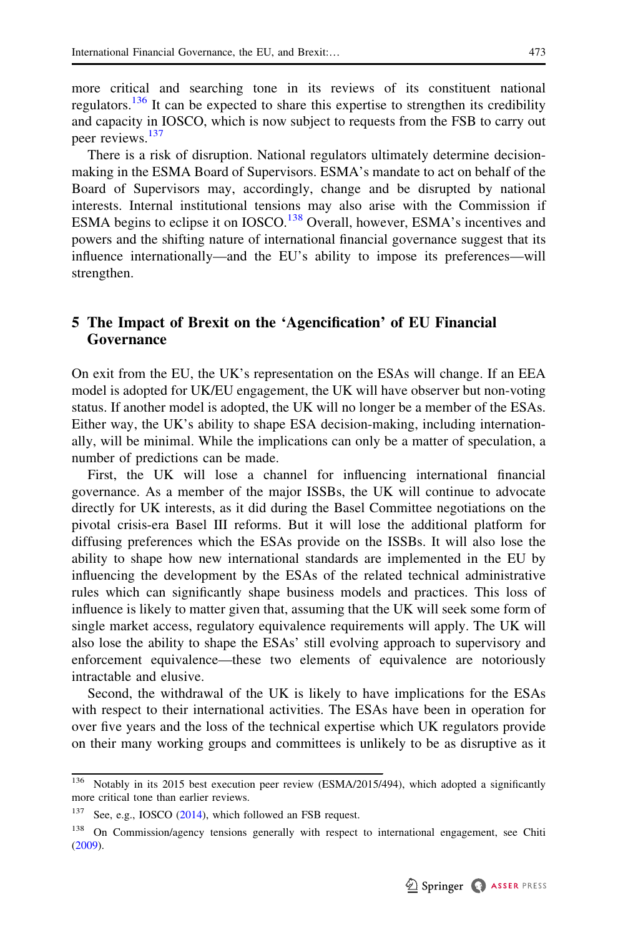<span id="page-23-0"></span>more critical and searching tone in its reviews of its constituent national regulators.<sup>136</sup> It can be expected to share this expertise to strengthen its credibility and capacity in IOSCO, which is now subject to requests from the FSB to carry out peer reviews.<sup>137</sup>

There is a risk of disruption. National regulators ultimately determine decisionmaking in the ESMA Board of Supervisors. ESMA's mandate to act on behalf of the Board of Supervisors may, accordingly, change and be disrupted by national interests. Internal institutional tensions may also arise with the Commission if ESMA begins to eclipse it on IOSCO.<sup>138</sup> Overall, however, ESMA's incentives and powers and the shifting nature of international financial governance suggest that its influence internationally—and the EU's ability to impose its preferences—will strengthen.

#### 5 The Impact of Brexit on the 'Agencification' of EU Financial Governance

On exit from the EU, the UK's representation on the ESAs will change. If an EEA model is adopted for UK/EU engagement, the UK will have observer but non-voting status. If another model is adopted, the UK will no longer be a member of the ESAs. Either way, the UK's ability to shape ESA decision-making, including internationally, will be minimal. While the implications can only be a matter of speculation, a number of predictions can be made.

First, the UK will lose a channel for influencing international financial governance. As a member of the major ISSBs, the UK will continue to advocate directly for UK interests, as it did during the Basel Committee negotiations on the pivotal crisis-era Basel III reforms. But it will lose the additional platform for diffusing preferences which the ESAs provide on the ISSBs. It will also lose the ability to shape how new international standards are implemented in the EU by influencing the development by the ESAs of the related technical administrative rules which can significantly shape business models and practices. This loss of influence is likely to matter given that, assuming that the UK will seek some form of single market access, regulatory equivalence requirements will apply. The UK will also lose the ability to shape the ESAs' still evolving approach to supervisory and enforcement equivalence—these two elements of equivalence are notoriously intractable and elusive.

Second, the withdrawal of the UK is likely to have implications for the ESAs with respect to their international activities. The ESAs have been in operation for over five years and the loss of the technical expertise which UK regulators provide on their many working groups and committees is unlikely to be as disruptive as it

<sup>136</sup> Notably in its 2015 best execution peer review (ESMA/2015/494), which adopted a significantly more critical tone than earlier reviews.

<sup>&</sup>lt;sup>137</sup> See, e.g., IOSCO ([2014\)](#page-28-0), which followed an FSB request.

<sup>&</sup>lt;sup>138</sup> On Commission/agency tensions generally with respect to international engagement, see Chiti ([2009\)](#page-26-0).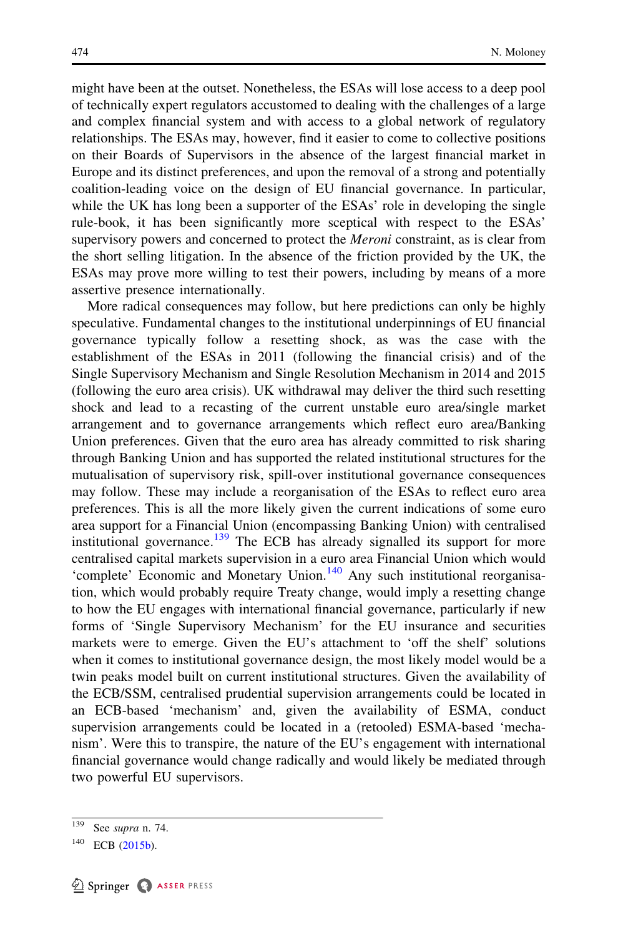might have been at the outset. Nonetheless, the ESAs will lose access to a deep pool of technically expert regulators accustomed to dealing with the challenges of a large and complex financial system and with access to a global network of regulatory relationships. The ESAs may, however, find it easier to come to collective positions on their Boards of Supervisors in the absence of the largest financial market in Europe and its distinct preferences, and upon the removal of a strong and potentially coalition-leading voice on the design of EU financial governance. In particular, while the UK has long been a supporter of the ESAs' role in developing the single rule-book, it has been significantly more sceptical with respect to the ESAs' supervisory powers and concerned to protect the *Meroni* constraint, as is clear from the short selling litigation. In the absence of the friction provided by the UK, the ESAs may prove more willing to test their powers, including by means of a more assertive presence internationally.

More radical consequences may follow, but here predictions can only be highly speculative. Fundamental changes to the institutional underpinnings of EU financial governance typically follow a resetting shock, as was the case with the establishment of the ESAs in 2011 (following the financial crisis) and of the Single Supervisory Mechanism and Single Resolution Mechanism in 2014 and 2015 (following the euro area crisis). UK withdrawal may deliver the third such resetting shock and lead to a recasting of the current unstable euro area/single market arrangement and to governance arrangements which reflect euro area/Banking Union preferences. Given that the euro area has already committed to risk sharing through Banking Union and has supported the related institutional structures for the mutualisation of supervisory risk, spill-over institutional governance consequences may follow. These may include a reorganisation of the ESAs to reflect euro area preferences. This is all the more likely given the current indications of some euro area support for a Financial Union (encompassing Banking Union) with centralised institutional governance.<sup>139</sup> The ECB has already signalled its support for more centralised capital markets supervision in a euro area Financial Union which would 'complete' Economic and Monetary Union.<sup>140</sup> Any such institutional reorganisation, which would probably require Treaty change, would imply a resetting change to how the EU engages with international financial governance, particularly if new forms of 'Single Supervisory Mechanism' for the EU insurance and securities markets were to emerge. Given the EU's attachment to 'off the shelf' solutions when it comes to institutional governance design, the most likely model would be a twin peaks model built on current institutional structures. Given the availability of the ECB/SSM, centralised prudential supervision arrangements could be located in an ECB-based 'mechanism' and, given the availability of ESMA, conduct supervision arrangements could be located in a (retooled) ESMA-based 'mechanism'. Were this to transpire, the nature of the EU's engagement with international financial governance would change radically and would likely be mediated through two powerful EU supervisors.

 $139$  See supra n. 74.

 $140$  ECB [\(2015b](#page-26-0)).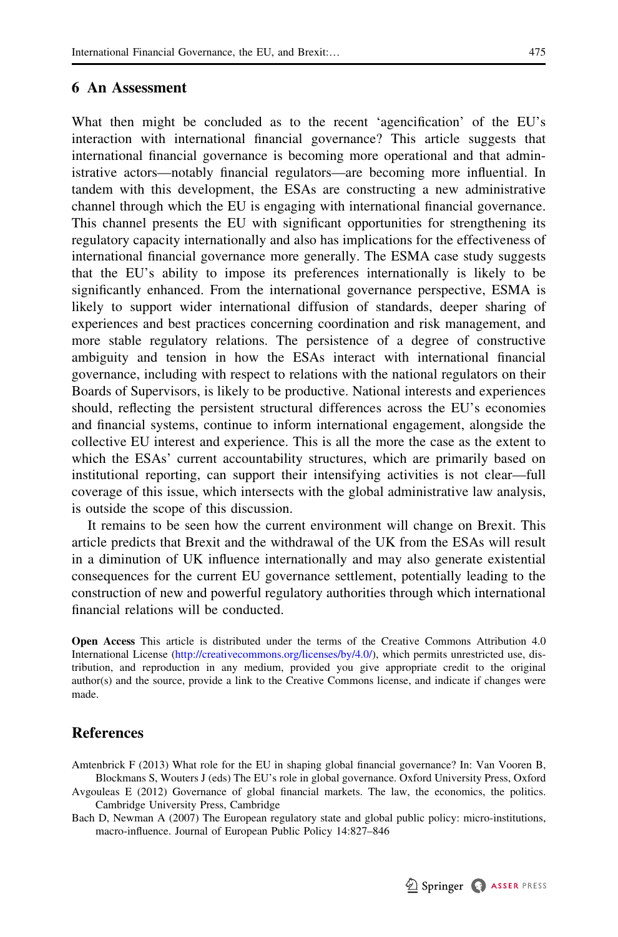#### <span id="page-25-0"></span>6 An Assessment

What then might be concluded as to the recent 'agencification' of the EU's interaction with international financial governance? This article suggests that international financial governance is becoming more operational and that administrative actors—notably financial regulators—are becoming more influential. In tandem with this development, the ESAs are constructing a new administrative channel through which the EU is engaging with international financial governance. This channel presents the EU with significant opportunities for strengthening its regulatory capacity internationally and also has implications for the effectiveness of international financial governance more generally. The ESMA case study suggests that the EU's ability to impose its preferences internationally is likely to be significantly enhanced. From the international governance perspective, ESMA is likely to support wider international diffusion of standards, deeper sharing of experiences and best practices concerning coordination and risk management, and more stable regulatory relations. The persistence of a degree of constructive ambiguity and tension in how the ESAs interact with international financial governance, including with respect to relations with the national regulators on their Boards of Supervisors, is likely to be productive. National interests and experiences should, reflecting the persistent structural differences across the EU's economies and financial systems, continue to inform international engagement, alongside the collective EU interest and experience. This is all the more the case as the extent to which the ESAs' current accountability structures, which are primarily based on institutional reporting, can support their intensifying activities is not clear—full coverage of this issue, which intersects with the global administrative law analysis, is outside the scope of this discussion.

It remains to be seen how the current environment will change on Brexit. This article predicts that Brexit and the withdrawal of the UK from the ESAs will result in a diminution of UK influence internationally and may also generate existential consequences for the current EU governance settlement, potentially leading to the construction of new and powerful regulatory authorities through which international financial relations will be conducted.

Open Access This article is distributed under the terms of the Creative Commons Attribution 4.0 International License ([http://creativecommons.org/licenses/by/4.0/\)](http://creativecommons.org/licenses/by/4.0/), which permits unrestricted use, distribution, and reproduction in any medium, provided you give appropriate credit to the original author(s) and the source, provide a link to the Creative Commons license, and indicate if changes were made.

#### References

Amtenbrick F (2013) What role for the EU in shaping global financial governance? In: Van Vooren B, Blockmans S, Wouters J (eds) The EU's role in global governance. Oxford University Press, Oxford

Avgouleas E (2012) Governance of global financial markets. The law, the economics, the politics. Cambridge University Press, Cambridge

Bach D, Newman A (2007) The European regulatory state and global public policy: micro-institutions, macro-influence. Journal of European Public Policy 14:827–846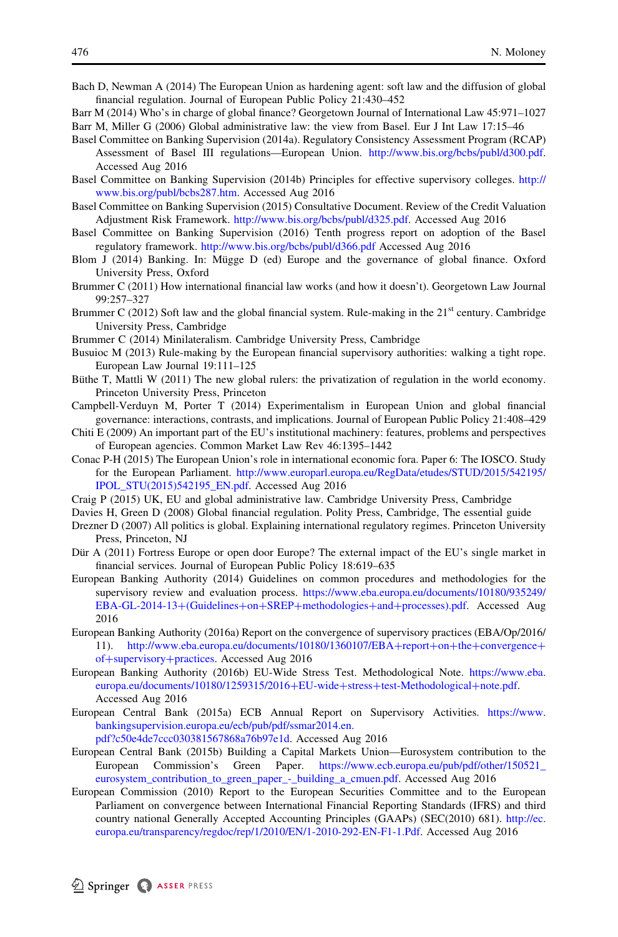- <span id="page-26-0"></span>Bach D, Newman A (2014) The European Union as hardening agent: soft law and the diffusion of global financial regulation. Journal of European Public Policy 21:430–452
- Barr M (2014) Who's in charge of global finance? Georgetown Journal of International Law 45:971–1027 Barr M, Miller G (2006) Global administrative law: the view from Basel. Eur J Int Law 17:15–46
- Basel Committee on Banking Supervision (2014a). Regulatory Consistency Assessment Program (RCAP) Assessment of Basel III regulations—European Union. <http://www.bis.org/bcbs/publ/d300.pdf>. Accessed Aug 2016
- Basel Committee on Banking Supervision (2014b) Principles for effective supervisory colleges. [http://](http://www.bis.org/publ/bcbs287.htm) [www.bis.org/publ/bcbs287.htm.](http://www.bis.org/publ/bcbs287.htm) Accessed Aug 2016
- Basel Committee on Banking Supervision (2015) Consultative Document. Review of the Credit Valuation Adjustment Risk Framework. <http://www.bis.org/bcbs/publ/d325.pdf>. Accessed Aug 2016
- Basel Committee on Banking Supervision (2016) Tenth progress report on adoption of the Basel regulatory framework. <http://www.bis.org/bcbs/publ/d366.pdf> Accessed Aug 2016
- Blom J (2014) Banking. In: Mügge D (ed) Europe and the governance of global finance. Oxford University Press, Oxford
- Brummer C (2011) How international financial law works (and how it doesn't). Georgetown Law Journal 99:257–327
- Brummer C (2012) Soft law and the global financial system. Rule-making in the  $21<sup>st</sup>$  century. Cambridge University Press, Cambridge
- Brummer C (2014) Minilateralism. Cambridge University Press, Cambridge
- Busuioc M (2013) Rule-making by the European financial supervisory authorities: walking a tight rope. European Law Journal 19:111–125
- Buthe T, Mattli W (2011) The new global rulers: the privatization of regulation in the world economy. Princeton University Press, Princeton
- Campbell-Verduyn M, Porter T (2014) Experimentalism in European Union and global financial governance: interactions, contrasts, and implications. Journal of European Public Policy 21:408–429
- Chiti E (2009) An important part of the EU's institutional machinery: features, problems and perspectives of European agencies. Common Market Law Rev 46:1395–1442
- Conac P-H (2015) The European Union's role in international economic fora. Paper 6: The IOSCO. Study for the European Parliament. [http://www.europarl.europa.eu/RegData/etudes/STUD/2015/542195/](http://www.europarl.europa.eu/RegData/etudes/STUD/2015/542195/IPOL_STU(2015)542195_EN.pdf) [IPOL\\_STU\(2015\)542195\\_EN.pdf.](http://www.europarl.europa.eu/RegData/etudes/STUD/2015/542195/IPOL_STU(2015)542195_EN.pdf) Accessed Aug 2016
- Craig P (2015) UK, EU and global administrative law. Cambridge University Press, Cambridge
- Davies H, Green D (2008) Global financial regulation. Polity Press, Cambridge, The essential guide
- Drezner D (2007) All politics is global. Explaining international regulatory regimes. Princeton University Press, Princeton, NJ
- Dür A (2011) Fortress Europe or open door Europe? The external impact of the EU's single market in financial services. Journal of European Public Policy 18:619–635
- European Banking Authority (2014) Guidelines on common procedures and methodologies for the supervisory review and evaluation process. [https://www.eba.europa.eu/documents/10180/935249/](https://www.eba.europa.eu/documents/10180/935249/EBA-GL-2014-13%2b(Guidelines%2bon%2bSREP%2bmethodologies%2band%2bprocesses).pdf) [EBA-GL-2014-13](https://www.eba.europa.eu/documents/10180/935249/EBA-GL-2014-13%2b(Guidelines%2bon%2bSREP%2bmethodologies%2band%2bprocesses).pdf)+(Guidelines+on+SREP+methodologies+and+processes).pdf. Accessed Aug 2016
- European Banking Authority (2016a) Report on the convergence of supervisory practices (EBA/Op/2016/ 11). [http://www.eba.europa.eu/documents/10180/1360107/EBA](http://www.eba.europa.eu/documents/10180/1360107/EBA%2breport%2bon%2bthe%2bconvergence%2bof%2bsupervisory%2bpractices)+report+on+the+convergence+ of+[supervisory](http://www.eba.europa.eu/documents/10180/1360107/EBA%2breport%2bon%2bthe%2bconvergence%2bof%2bsupervisory%2bpractices)+practices. Accessed Aug 2016
- European Banking Authority (2016b) EU-Wide Stress Test. Methodological Note. [https://www.eba.](https://www.eba.europa.eu/documents/10180/1259315/2016%2bEU-wide%2bstress%2btest-Methodological%2bnote.pdf) [europa.eu/documents/10180/1259315/2016](https://www.eba.europa.eu/documents/10180/1259315/2016%2bEU-wide%2bstress%2btest-Methodological%2bnote.pdf)+EU-wide+stress+test-Methodological+note.pdf. Accessed Aug 2016
- European Central Bank (2015a) ECB Annual Report on Supervisory Activities. [https://www.](https://www.bankingsupervision.europa.eu/ecb/pub/pdf/ssmar2014.en.pdf?c50e4de7ccc030381567868a76b97e1d) [bankingsupervision.europa.eu/ecb/pub/pdf/ssmar2014.en.](https://www.bankingsupervision.europa.eu/ecb/pub/pdf/ssmar2014.en.pdf?c50e4de7ccc030381567868a76b97e1d)
	- [pdf?c50e4de7ccc030381567868a76b97e1d](https://www.bankingsupervision.europa.eu/ecb/pub/pdf/ssmar2014.en.pdf?c50e4de7ccc030381567868a76b97e1d). Accessed Aug 2016
- European Central Bank (2015b) Building a Capital Markets Union—Eurosystem contribution to the European Commission's Green Paper. [https://www.ecb.europa.eu/pub/pdf/other/150521\\_](https://www.ecb.europa.eu/pub/pdf/other/150521_eurosystem_contribution_to_green_paper_-_building_a_cmuen.pdf) [eurosystem\\_contribution\\_to\\_green\\_paper\\_-\\_building\\_a\\_cmuen.pdf](https://www.ecb.europa.eu/pub/pdf/other/150521_eurosystem_contribution_to_green_paper_-_building_a_cmuen.pdf). Accessed Aug 2016
- European Commission (2010) Report to the European Securities Committee and to the European Parliament on convergence between International Financial Reporting Standards (IFRS) and third country national Generally Accepted Accounting Principles (GAAPs) (SEC(2010) 681). [http://ec.](http://ec.europa.eu/transparency/regdoc/rep/1/2010/EN/1-2010-292-EN-F1-1.Pdf) [europa.eu/transparency/regdoc/rep/1/2010/EN/1-2010-292-EN-F1-1.Pdf.](http://ec.europa.eu/transparency/regdoc/rep/1/2010/EN/1-2010-292-EN-F1-1.Pdf) Accessed Aug 2016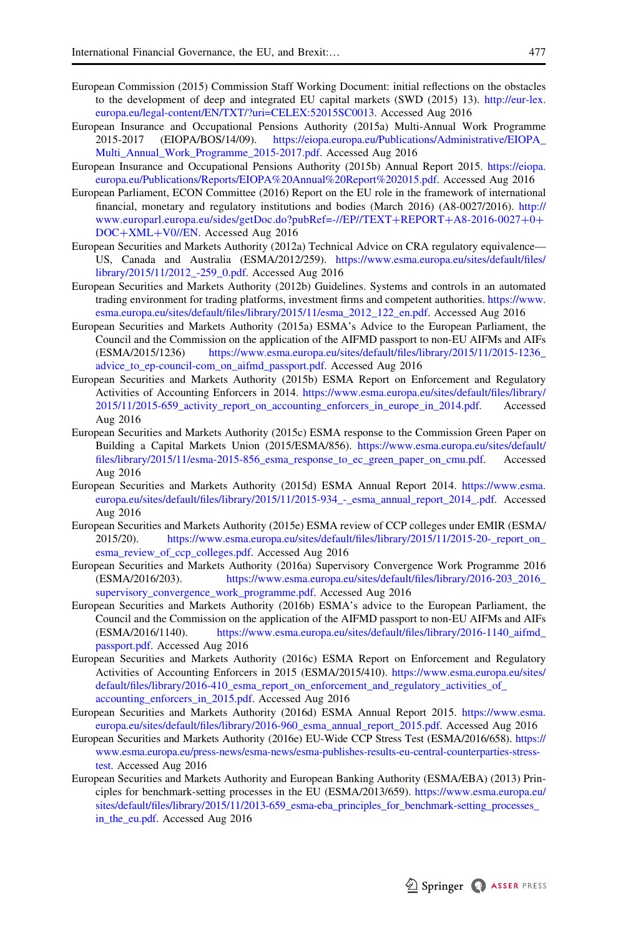- <span id="page-27-0"></span>European Commission (2015) Commission Staff Working Document: initial reflections on the obstacles to the development of deep and integrated EU capital markets (SWD (2015) 13). [http://eur-lex.](http://eur-lex.europa.eu/legal-content/EN/TXT/%3furi%3dCELEX:52015SC0013) [europa.eu/legal-content/EN/TXT/?uri=CELEX:52015SC0013](http://eur-lex.europa.eu/legal-content/EN/TXT/%3furi%3dCELEX:52015SC0013). Accessed Aug 2016
- European Insurance and Occupational Pensions Authority (2015a) Multi-Annual Work Programme 2015-2017 (EIOPA/BOS/14/09). [https://eiopa.europa.eu/Publications/Administrative/EIOPA\\_](https://eiopa.europa.eu/Publications/Administrative/EIOPA_Multi_Annual_Work_Programme_2015-2017.pdf) [Multi\\_Annual\\_Work\\_Programme\\_2015-2017.pdf](https://eiopa.europa.eu/Publications/Administrative/EIOPA_Multi_Annual_Work_Programme_2015-2017.pdf). Accessed Aug 2016
- European Insurance and Occupational Pensions Authority (2015b) Annual Report 2015. [https://eiopa.](https://eiopa.europa.eu/Publications/Reports/EIOPA%20Annual%20Report%202015.pdf) [europa.eu/Publications/Reports/EIOPA%20Annual%20Report%202015.pdf.](https://eiopa.europa.eu/Publications/Reports/EIOPA%20Annual%20Report%202015.pdf) Accessed Aug 2016
- European Parliament, ECON Committee (2016) Report on the EU role in the framework of international financial, monetary and regulatory institutions and bodies (March 2016) (A8-0027/2016). [http://](http://www.europarl.europa.eu/sides/getDoc.do%3fpubRef%3d-//EP//TEXT%2bREPORT%2bA8-2016-0027%2b0%2bDOC%2bXML%2bV0//EN) [www.europarl.europa.eu/sides/getDoc.do?pubRef=-//EP//TEXT](http://www.europarl.europa.eu/sides/getDoc.do%3fpubRef%3d-//EP//TEXT%2bREPORT%2bA8-2016-0027%2b0%2bDOC%2bXML%2bV0//EN)+REPORT+A8-2016-0027+0+ DOC+XML+[V0//EN.](http://www.europarl.europa.eu/sides/getDoc.do%3fpubRef%3d-//EP//TEXT%2bREPORT%2bA8-2016-0027%2b0%2bDOC%2bXML%2bV0//EN) Accessed Aug 2016
- European Securities and Markets Authority (2012a) Technical Advice on CRA regulatory equivalence— US, Canada and Australia (ESMA/2012/259). [https://www.esma.europa.eu/sites/default/files/](https://www.esma.europa.eu/sites/default/files/library/2015/11/2012_-259_0.pdf) [library/2015/11/2012\\_-259\\_0.pdf.](https://www.esma.europa.eu/sites/default/files/library/2015/11/2012_-259_0.pdf) Accessed Aug 2016
- European Securities and Markets Authority (2012b) Guidelines. Systems and controls in an automated trading environment for trading platforms, investment firms and competent authorities. [https://www.](https://www.esma.europa.eu/sites/default/files/library/2015/11/esma_2012_122_en.pdf) [esma.europa.eu/sites/default/files/library/2015/11/esma\\_2012\\_122\\_en.pdf](https://www.esma.europa.eu/sites/default/files/library/2015/11/esma_2012_122_en.pdf). Accessed Aug 2016
- European Securities and Markets Authority (2015a) ESMA's Advice to the European Parliament, the Council and the Commission on the application of the AIFMD passport to non-EU AIFMs and AIFs (ESMA/2015/1236) [https://www.esma.europa.eu/sites/default/files/library/2015/11/2015-1236\\_](https://www.esma.europa.eu/sites/default/files/library/2015/11/2015-1236_advice_to_ep-council-com_on_aifmd_passport.pdf) [advice\\_to\\_ep-council-com\\_on\\_aifmd\\_passport.pdf.](https://www.esma.europa.eu/sites/default/files/library/2015/11/2015-1236_advice_to_ep-council-com_on_aifmd_passport.pdf) Accessed Aug 2016
- European Securities and Markets Authority (2015b) ESMA Report on Enforcement and Regulatory Activities of Accounting Enforcers in 2014. [https://www.esma.europa.eu/sites/default/files/library/](https://www.esma.europa.eu/sites/default/files/library/2015/11/2015-659_activity_report_on_accounting_enforcers_in_europe_in_2014.pdf) [2015/11/2015-659\\_activity\\_report\\_on\\_accounting\\_enforcers\\_in\\_europe\\_in\\_2014.pdf.](https://www.esma.europa.eu/sites/default/files/library/2015/11/2015-659_activity_report_on_accounting_enforcers_in_europe_in_2014.pdf) Accessed Aug 2016
- European Securities and Markets Authority (2015c) ESMA response to the Commission Green Paper on Building a Capital Markets Union (2015/ESMA/856). [https://www.esma.europa.eu/sites/default/](https://www.esma.europa.eu/sites/default/files/library/2015/11/esma-2015-856_esma_response_to_ec_green_paper_on_cmu.pdf) [files/library/2015/11/esma-2015-856\\_esma\\_response\\_to\\_ec\\_green\\_paper\\_on\\_cmu.pdf.](https://www.esma.europa.eu/sites/default/files/library/2015/11/esma-2015-856_esma_response_to_ec_green_paper_on_cmu.pdf) Accessed Aug 2016
- European Securities and Markets Authority (2015d) ESMA Annual Report 2014. [https://www.esma.](https://www.esma.europa.eu/sites/default/files/library/2015/11/2015-934_-_esma_annual_report_2014_.pdf) europa.eu/sites/default/files/library/2015/11/2015-934 - esma\_annual\_report\_2014\_.pdf. Accessed Aug 2016
- European Securities and Markets Authority (2015e) ESMA review of CCP colleges under EMIR (ESMA/ 2015/20). [https://www.esma.europa.eu/sites/default/files/library/2015/11/2015-20-\\_report\\_on\\_](https://www.esma.europa.eu/sites/default/files/library/2015/11/2015-20-_report_on_esma_review_of_ccp_colleges.pdf) [esma\\_review\\_of\\_ccp\\_colleges.pdf](https://www.esma.europa.eu/sites/default/files/library/2015/11/2015-20-_report_on_esma_review_of_ccp_colleges.pdf). Accessed Aug 2016
- European Securities and Markets Authority (2016a) Supervisory Convergence Work Programme 2016 (ESMA/2016/203). [https://www.esma.europa.eu/sites/default/files/library/2016-203\\_2016\\_](https://www.esma.europa.eu/sites/default/files/library/2016-203_2016_supervisory_convergence_work_programme.pdf) [supervisory\\_convergence\\_work\\_programme.pdf](https://www.esma.europa.eu/sites/default/files/library/2016-203_2016_supervisory_convergence_work_programme.pdf). Accessed Aug 2016
- European Securities and Markets Authority (2016b) ESMA's advice to the European Parliament, the Council and the Commission on the application of the AIFMD passport to non-EU AIFMs and AIFs (ESMA/2016/1140). [https://www.esma.europa.eu/sites/default/files/library/2016-1140\\_aifmd\\_](https://www.esma.europa.eu/sites/default/files/library/2016-1140_aifmd_passport.pdf) [passport.pdf](https://www.esma.europa.eu/sites/default/files/library/2016-1140_aifmd_passport.pdf). Accessed Aug 2016
- European Securities and Markets Authority (2016c) ESMA Report on Enforcement and Regulatory Activities of Accounting Enforcers in 2015 (ESMA/2015/410). [https://www.esma.europa.eu/sites/](https://www.esma.europa.eu/sites/default/files/library/2016-410_esma_report_on_enforcement_and_regulatory_activities_of_accounting_enforcers_in_2015.pdf) [default/files/library/2016-410\\_esma\\_report\\_on\\_enforcement\\_and\\_regulatory\\_activities\\_of\\_](https://www.esma.europa.eu/sites/default/files/library/2016-410_esma_report_on_enforcement_and_regulatory_activities_of_accounting_enforcers_in_2015.pdf) [accounting\\_enforcers\\_in\\_2015.pdf](https://www.esma.europa.eu/sites/default/files/library/2016-410_esma_report_on_enforcement_and_regulatory_activities_of_accounting_enforcers_in_2015.pdf). Accessed Aug 2016
- European Securities and Markets Authority (2016d) ESMA Annual Report 2015. [https://www.esma.](https://www.esma.europa.eu/sites/default/files/library/2016-960_esma_annual_report_2015.pdf) [europa.eu/sites/default/files/library/2016-960\\_esma\\_annual\\_report\\_2015.pdf.](https://www.esma.europa.eu/sites/default/files/library/2016-960_esma_annual_report_2015.pdf) Accessed Aug 2016
- European Securities and Markets Authority (2016e) EU-Wide CCP Stress Test (ESMA/2016/658). [https://](https://www.esma.europa.eu/press-news/esma-news/esma-publishes-results-eu-central-counterparties-stress-test) [www.esma.europa.eu/press-news/esma-news/esma-publishes-results-eu-central-counterparties-stress](https://www.esma.europa.eu/press-news/esma-news/esma-publishes-results-eu-central-counterparties-stress-test)[test.](https://www.esma.europa.eu/press-news/esma-news/esma-publishes-results-eu-central-counterparties-stress-test) Accessed Aug 2016
- European Securities and Markets Authority and European Banking Authority (ESMA/EBA) (2013) Principles for benchmark-setting processes in the EU (ESMA/2013/659). [https://www.esma.europa.eu/](https://www.esma.europa.eu/sites/default/files/library/2015/11/2013-659_esma-eba_principles_for_benchmark-setting_processes_in_the_eu.pdf) [sites/default/files/library/2015/11/2013-659\\_esma-eba\\_principles\\_for\\_benchmark-setting\\_processes\\_](https://www.esma.europa.eu/sites/default/files/library/2015/11/2013-659_esma-eba_principles_for_benchmark-setting_processes_in_the_eu.pdf) in the eu.pdf. Accessed Aug 2016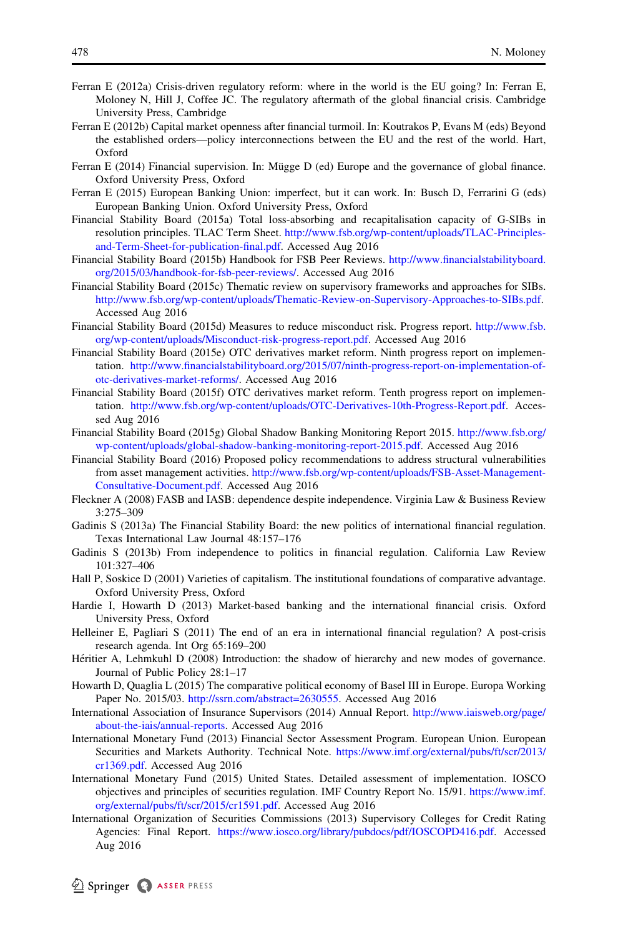- <span id="page-28-0"></span>Ferran E (2012a) Crisis-driven regulatory reform: where in the world is the EU going? In: Ferran E, Moloney N, Hill J, Coffee JC. The regulatory aftermath of the global financial crisis. Cambridge University Press, Cambridge
- Ferran E (2012b) Capital market openness after financial turmoil. In: Koutrakos P, Evans M (eds) Beyond the established orders—policy interconnections between the EU and the rest of the world. Hart, Oxford
- Ferran E (2014) Financial supervision. In: Mügge D (ed) Europe and the governance of global finance. Oxford University Press, Oxford
- Ferran E (2015) European Banking Union: imperfect, but it can work. In: Busch D, Ferrarini G (eds) European Banking Union. Oxford University Press, Oxford
- Financial Stability Board (2015a) Total loss-absorbing and recapitalisation capacity of G-SIBs in resolution principles. TLAC Term Sheet. [http://www.fsb.org/wp-content/uploads/TLAC-Principles](http://www.fsb.org/wp-content/uploads/TLAC-Principles-and-Term-Sheet-for-publication-final.pdf)[and-Term-Sheet-for-publication-final.pdf.](http://www.fsb.org/wp-content/uploads/TLAC-Principles-and-Term-Sheet-for-publication-final.pdf) Accessed Aug 2016
- Financial Stability Board (2015b) Handbook for FSB Peer Reviews. [http://www.financialstabilityboard.](http://www.financialstabilityboard.org/2015/03/handbook-for-fsb-peer-reviews/) [org/2015/03/handbook-for-fsb-peer-reviews/.](http://www.financialstabilityboard.org/2015/03/handbook-for-fsb-peer-reviews/) Accessed Aug 2016
- Financial Stability Board (2015c) Thematic review on supervisory frameworks and approaches for SIBs. [http://www.fsb.org/wp-content/uploads/Thematic-Review-on-Supervisory-Approaches-to-SIBs.pdf.](http://www.fsb.org/wp-content/uploads/Thematic-Review-on-Supervisory-Approaches-to-SIBs.pdf) Accessed Aug 2016
- Financial Stability Board (2015d) Measures to reduce misconduct risk. Progress report. [http://www.fsb.](http://www.fsb.org/wp-content/uploads/Misconduct-risk-progress-report.pdf) [org/wp-content/uploads/Misconduct-risk-progress-report.pdf.](http://www.fsb.org/wp-content/uploads/Misconduct-risk-progress-report.pdf) Accessed Aug 2016
- Financial Stability Board (2015e) OTC derivatives market reform. Ninth progress report on implementation. [http://www.financialstabilityboard.org/2015/07/ninth-progress-report-on-implementation-of](http://www.financialstabilityboard.org/2015/07/ninth-progress-report-on-implementation-of-otc-derivatives-market-reforms/)[otc-derivatives-market-reforms/.](http://www.financialstabilityboard.org/2015/07/ninth-progress-report-on-implementation-of-otc-derivatives-market-reforms/) Accessed Aug 2016
- Financial Stability Board (2015f) OTC derivatives market reform. Tenth progress report on implementation. [http://www.fsb.org/wp-content/uploads/OTC-Derivatives-10th-Progress-Report.pdf.](http://www.fsb.org/wp-content/uploads/OTC-Derivatives-10th-Progress-Report.pdf) Accessed Aug 2016
- Financial Stability Board (2015g) Global Shadow Banking Monitoring Report 2015. [http://www.fsb.org/](http://www.fsb.org/wp-content/uploads/global-shadow-banking-monitoring-report-2015.pdf) [wp-content/uploads/global-shadow-banking-monitoring-report-2015.pdf](http://www.fsb.org/wp-content/uploads/global-shadow-banking-monitoring-report-2015.pdf). Accessed Aug 2016
- Financial Stability Board (2016) Proposed policy recommendations to address structural vulnerabilities from asset management activities. [http://www.fsb.org/wp-content/uploads/FSB-Asset-Management-](http://www.fsb.org/wp-content/uploads/FSB-Asset-Management-Consultative-Document.pdf)[Consultative-Document.pdf.](http://www.fsb.org/wp-content/uploads/FSB-Asset-Management-Consultative-Document.pdf) Accessed Aug 2016
- Fleckner A (2008) FASB and IASB: dependence despite independence. Virginia Law & Business Review 3:275–309
- Gadinis S (2013a) The Financial Stability Board: the new politics of international financial regulation. Texas International Law Journal 48:157–176
- Gadinis S (2013b) From independence to politics in financial regulation. California Law Review 101:327–406
- Hall P, Soskice D (2001) Varieties of capitalism. The institutional foundations of comparative advantage. Oxford University Press, Oxford
- Hardie I, Howarth D (2013) Market-based banking and the international financial crisis. Oxford University Press, Oxford
- Helleiner E, Pagliari S (2011) The end of an era in international financial regulation? A post-crisis research agenda. Int Org 65:169–200
- Héritier A, Lehmkuhl D (2008) Introduction: the shadow of hierarchy and new modes of governance. Journal of Public Policy 28:1–17
- Howarth D, Quaglia L (2015) The comparative political economy of Basel III in Europe. Europa Working Paper No. 2015/03. [http://ssrn.com/abstract=2630555.](http://ssrn.com/abstract=2630555) Accessed Aug 2016
- International Association of Insurance Supervisors (2014) Annual Report. [http://www.iaisweb.org/page/](http://www.iaisweb.org/page/about-the-iais/annual-reports) [about-the-iais/annual-reports](http://www.iaisweb.org/page/about-the-iais/annual-reports). Accessed Aug 2016
- International Monetary Fund (2013) Financial Sector Assessment Program. European Union. European Securities and Markets Authority. Technical Note. [https://www.imf.org/external/pubs/ft/scr/2013/](https://www.imf.org/external/pubs/ft/scr/2013/cr1369.pdf) [cr1369.pdf.](https://www.imf.org/external/pubs/ft/scr/2013/cr1369.pdf) Accessed Aug 2016
- International Monetary Fund (2015) United States. Detailed assessment of implementation. IOSCO objectives and principles of securities regulation. IMF Country Report No. 15/91. [https://www.imf.](https://www.imf.org/external/pubs/ft/scr/2015/cr1591.pdf) [org/external/pubs/ft/scr/2015/cr1591.pdf.](https://www.imf.org/external/pubs/ft/scr/2015/cr1591.pdf) Accessed Aug 2016
- International Organization of Securities Commissions (2013) Supervisory Colleges for Credit Rating Agencies: Final Report. <https://www.iosco.org/library/pubdocs/pdf/IOSCOPD416.pdf>. Accessed Aug 2016

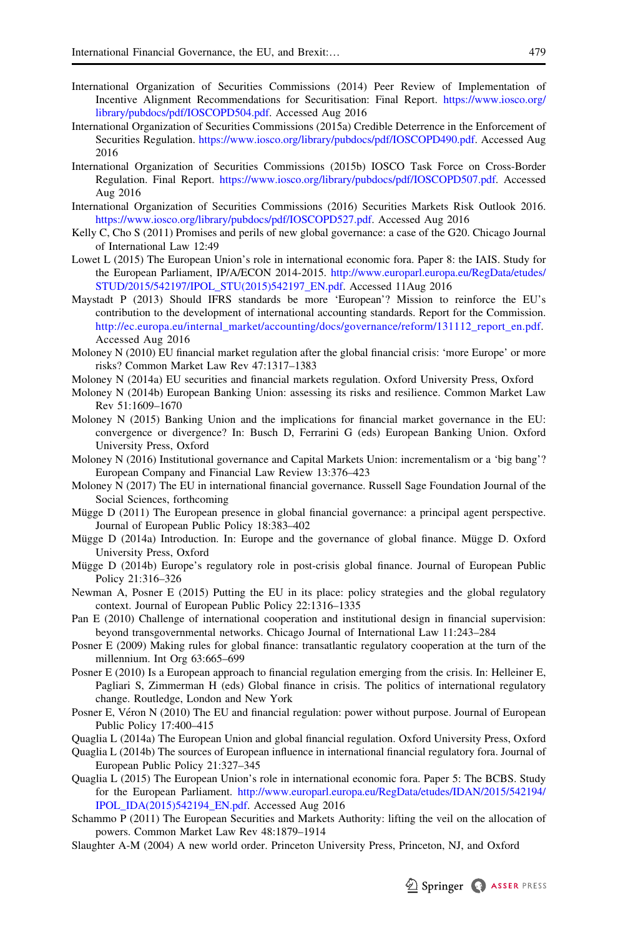- <span id="page-29-0"></span>International Organization of Securities Commissions (2014) Peer Review of Implementation of Incentive Alignment Recommendations for Securitisation: Final Report. [https://www.iosco.org/](https://www.iosco.org/library/pubdocs/pdf/IOSCOPD504.pdf) [library/pubdocs/pdf/IOSCOPD504.pdf](https://www.iosco.org/library/pubdocs/pdf/IOSCOPD504.pdf). Accessed Aug 2016
- International Organization of Securities Commissions (2015a) Credible Deterrence in the Enforcement of Securities Regulation. [https://www.iosco.org/library/pubdocs/pdf/IOSCOPD490.pdf.](https://www.iosco.org/library/pubdocs/pdf/IOSCOPD490.pdf) Accessed Aug 2016
- International Organization of Securities Commissions (2015b) IOSCO Task Force on Cross-Border Regulation. Final Report. [https://www.iosco.org/library/pubdocs/pdf/IOSCOPD507.pdf.](https://www.iosco.org/library/pubdocs/pdf/IOSCOPD507.pdf) Accessed Aug 2016
- International Organization of Securities Commissions (2016) Securities Markets Risk Outlook 2016. <https://www.iosco.org/library/pubdocs/pdf/IOSCOPD527.pdf>. Accessed Aug 2016
- Kelly C, Cho S (2011) Promises and perils of new global governance: a case of the G20. Chicago Journal of International Law 12:49
- Lowet L (2015) The European Union's role in international economic fora. Paper 8: the IAIS. Study for the European Parliament, IP/A/ECON 2014-2015. [http://www.europarl.europa.eu/RegData/etudes/](http://www.europarl.europa.eu/RegData/etudes/STUD/2015/542197/IPOL_STU(2015)542197_EN.pdf) [STUD/2015/542197/IPOL\\_STU\(2015\)542197\\_EN.pdf.](http://www.europarl.europa.eu/RegData/etudes/STUD/2015/542197/IPOL_STU(2015)542197_EN.pdf) Accessed 11Aug 2016
- Maystadt P (2013) Should IFRS standards be more 'European'? Mission to reinforce the EU's contribution to the development of international accounting standards. Report for the Commission. [http://ec.europa.eu/internal\\_market/accounting/docs/governance/reform/131112\\_report\\_en.pdf.](http://ec.europa.eu/internal_market/accounting/docs/governance/reform/131112_report_en.pdf) Accessed Aug 2016
- Moloney N (2010) EU financial market regulation after the global financial crisis: 'more Europe' or more risks? Common Market Law Rev 47:1317–1383
- Moloney N (2014a) EU securities and financial markets regulation. Oxford University Press, Oxford
- Moloney N (2014b) European Banking Union: assessing its risks and resilience. Common Market Law Rev 51:1609–1670
- Moloney N (2015) Banking Union and the implications for financial market governance in the EU: convergence or divergence? In: Busch D, Ferrarini G (eds) European Banking Union. Oxford University Press, Oxford
- Moloney N (2016) Institutional governance and Capital Markets Union: incrementalism or a 'big bang'? European Company and Financial Law Review 13:376–423
- Moloney N (2017) The EU in international financial governance. Russell Sage Foundation Journal of the Social Sciences, forthcoming
- Mügge D (2011) The European presence in global financial governance: a principal agent perspective. Journal of European Public Policy 18:383–402
- Mügge D (2014a) Introduction. In: Europe and the governance of global finance. Mügge D. Oxford University Press, Oxford
- Mügge D (2014b) Europe's regulatory role in post-crisis global finance. Journal of European Public Policy 21:316–326
- Newman A, Posner E (2015) Putting the EU in its place: policy strategies and the global regulatory context. Journal of European Public Policy 22:1316–1335
- Pan E (2010) Challenge of international cooperation and institutional design in financial supervision: beyond transgovernmental networks. Chicago Journal of International Law 11:243–284
- Posner E (2009) Making rules for global finance: transatlantic regulatory cooperation at the turn of the millennium. Int Org 63:665–699
- Posner E (2010) Is a European approach to financial regulation emerging from the crisis. In: Helleiner E, Pagliari S, Zimmerman H (eds) Global finance in crisis. The politics of international regulatory change. Routledge, London and New York
- Posner E, Véron N (2010) The EU and financial regulation: power without purpose. Journal of European Public Policy 17:400–415
- Quaglia L (2014a) The European Union and global financial regulation. Oxford University Press, Oxford
- Quaglia L (2014b) The sources of European influence in international financial regulatory fora. Journal of European Public Policy 21:327–345
- Quaglia L (2015) The European Union's role in international economic fora. Paper 5: The BCBS. Study for the European Parliament. [http://www.europarl.europa.eu/RegData/etudes/IDAN/2015/542194/](http://www.europarl.europa.eu/RegData/etudes/IDAN/2015/542194/IPOL_IDA(2015)542194_EN.pdf) [IPOL\\_IDA\(2015\)542194\\_EN.pdf.](http://www.europarl.europa.eu/RegData/etudes/IDAN/2015/542194/IPOL_IDA(2015)542194_EN.pdf) Accessed Aug 2016
- Schammo P (2011) The European Securities and Markets Authority: lifting the veil on the allocation of powers. Common Market Law Rev 48:1879–1914
- Slaughter A-M (2004) A new world order. Princeton University Press, Princeton, NJ, and Oxford